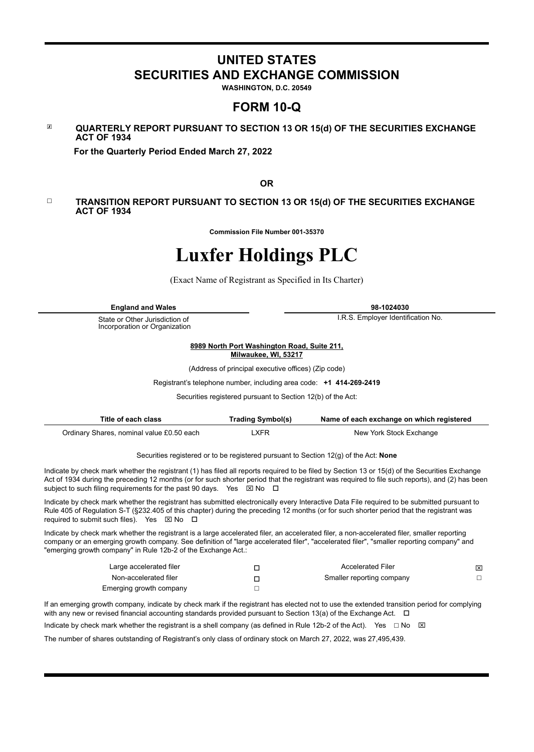# **UNITED STATES SECURITIES AND EXCHANGE COMMISSION**

**WASHINGTON, D.C. 20549**

# **FORM 10-Q**

☒ **QUARTERLY REPORT PURSUANT TO SECTION 13 OR 15(d) OF THE SECURITIES EXCHANGE ACT OF 1934**

 **For the Quarterly Period Ended March 27, 2022**

**OR**

#### ☐ **TRANSITION REPORT PURSUANT TO SECTION 13 OR 15(d) OF THE SECURITIES EXCHANGE ACT OF 1934**

**Commission File Number 001-35370**

# **Luxfer Holdings PLC**

(Exact Name of Registrant as Specified in Its Charter)

**England and Wales 98-1024030**

State or Other Jurisdiction of Incorporation or Organization

I.R.S. Employer Identification No.

**8989 North Port Washington Road, Suite 211, Milwaukee, WI, 53217**

(Address of principal executive offices) (Zip code)

Registrant's telephone number, including area code: **+1 414-269-2419**

Securities registered pursuant to Section 12(b) of the Act:

| Title of each class                       | <b>Trading Symbol(s)</b> | Name of each exchange on which registered |
|-------------------------------------------|--------------------------|-------------------------------------------|
| Ordinary Shares, nominal value £0.50 each | _XFR                     | New York Stock Exchange                   |

Securities registered or to be registered pursuant to Section 12(g) of the Act: **None**

Indicate by check mark whether the registrant (1) has filed all reports required to be filed by Section 13 or 15(d) of the Securities Exchange Act of 1934 during the preceding 12 months (or for such shorter period that the registrant was required to file such reports), and (2) has been subject to such filing requirements for the past 90 days. Yes  $\boxtimes$  No  $\Box$ 

Indicate by check mark whether the registrant has submitted electronically every Interactive Data File required to be submitted pursuant to Rule 405 of Regulation S-T (§232.405 of this chapter) during the preceding 12 months (or for such shorter period that the registrant was required to submit such files). Yes  $\boxtimes$  No  $\Box$ 

Indicate by check mark whether the registrant is a large accelerated filer, an accelerated filer, a non-accelerated filer, smaller reporting company or an emerging growth company. See definition of "large accelerated filer", "accelerated filer", "smaller reporting company" and "emerging growth company" in Rule 12b-2 of the Exchange Act.:

| Large accelerated filer | <b>Accelerated Filer</b>  | 囟 |
|-------------------------|---------------------------|---|
| Non-accelerated filer   | Smaller reporting company |   |
| Emerging growth company |                           |   |

If an emerging growth company, indicate by check mark if the registrant has elected not to use the extended transition period for complying with any new or revised financial accounting standards provided pursuant to Section 13(a) of the Exchange Act.  $\Box$ 

Indicate by check mark whether the registrant is a shell company (as defined in Rule 12b-2 of the Act). Yes  $\Box$  No  $\boxtimes$ 

The number of shares outstanding of Registrant's only class of ordinary stock on March 27, 2022, was 27,495,439.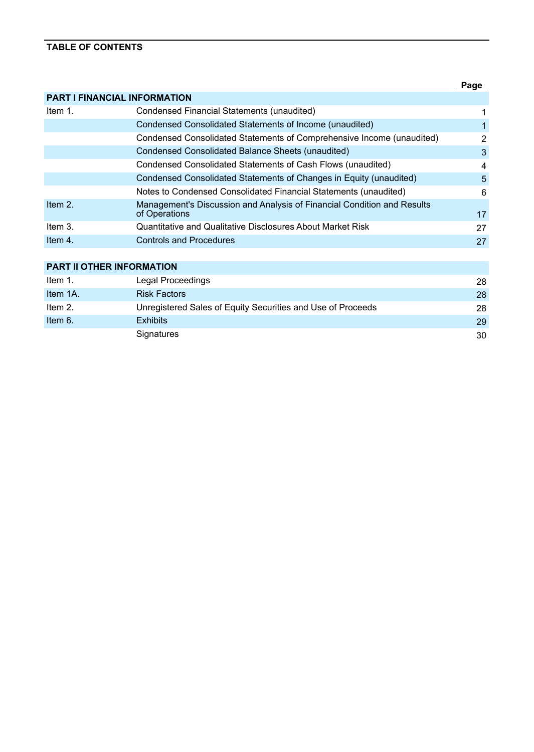# **TABLE OF CONTENTS**

|            |                                                                                          | Page           |
|------------|------------------------------------------------------------------------------------------|----------------|
|            | <b>PART I FINANCIAL INFORMATION</b>                                                      |                |
| Item 1.    | Condensed Financial Statements (unaudited)                                               | 1              |
|            | Condensed Consolidated Statements of Income (unaudited)                                  | 1              |
|            | Condensed Consolidated Statements of Comprehensive Income (unaudited)                    | $\overline{2}$ |
|            | Condensed Consolidated Balance Sheets (unaudited)                                        | 3              |
|            | Condensed Consolidated Statements of Cash Flows (unaudited)                              | 4              |
|            | Condensed Consolidated Statements of Changes in Equity (unaudited)                       | 5              |
|            | Notes to Condensed Consolidated Financial Statements (unaudited)                         | 6              |
| Item 2.    | Management's Discussion and Analysis of Financial Condition and Results<br>of Operations | 17             |
| Item $3.$  | Quantitative and Qualitative Disclosures About Market Risk                               | 27             |
| Item $4.$  | <b>Controls and Procedures</b>                                                           | 27             |
|            |                                                                                          |                |
|            | PART II OTHER INFORMATION                                                                |                |
| Item $1$ . | Legal Proceedings                                                                        | 28             |
| Item 1A.   | <b>Risk Factors</b>                                                                      | 28             |
| Item $2.$  | Unregistered Sales of Equity Securities and Use of Proceeds                              | 28             |
| Item $6.$  | <b>Exhibits</b>                                                                          | 29             |

Signatures [30](#page-31-0)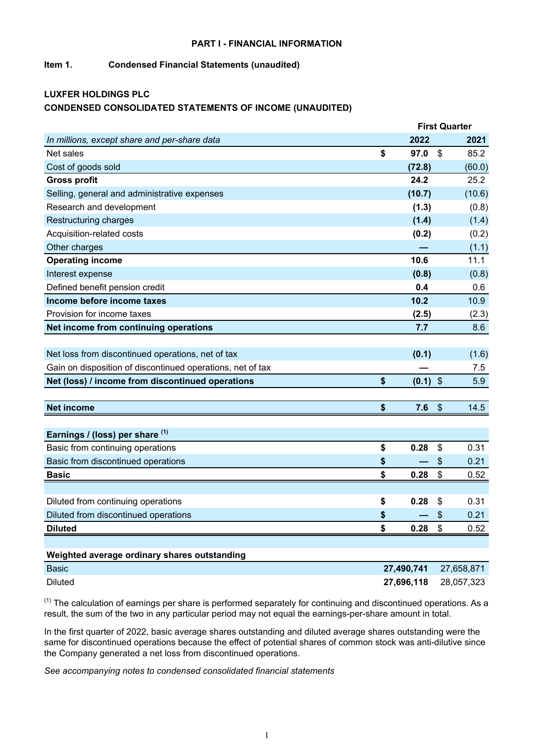#### **PART I - FINANCIAL INFORMATION**

# <span id="page-2-0"></span>**Item 1. Condensed Financial Statements (unaudited)**

# **LUXFER HOLDINGS PLC CONDENSED CONSOLIDATED STATEMENTS OF INCOME (UNAUDITED)**

|                                                            |                  |                           | <b>First Quarter</b> |
|------------------------------------------------------------|------------------|---------------------------|----------------------|
| In millions, except share and per-share data               | 2022             |                           | 2021                 |
| Net sales                                                  | \$<br>97.0       | \$                        | 85.2                 |
| Cost of goods sold                                         | (72.8)           |                           | (60.0)               |
| <b>Gross profit</b>                                        | 24.2             |                           | 25.2                 |
| Selling, general and administrative expenses               | (10.7)           |                           | (10.6)               |
| Research and development                                   | (1.3)            |                           | (0.8)                |
| Restructuring charges                                      | (1.4)            |                           | (1.4)                |
| Acquisition-related costs                                  | (0.2)            |                           | (0.2)                |
| Other charges                                              |                  |                           | (1.1)                |
| <b>Operating income</b>                                    | 10.6             |                           | 11.1                 |
| Interest expense                                           | (0.8)            |                           | (0.8)                |
| Defined benefit pension credit                             | 0.4              |                           | 0.6                  |
| Income before income taxes                                 | 10.2             |                           | 10.9                 |
| Provision for income taxes                                 | (2.5)            |                           | (2.3)                |
| Net income from continuing operations                      | 7.7              |                           | 8.6                  |
|                                                            |                  |                           |                      |
| Net loss from discontinued operations, net of tax          | (0.1)            |                           | (1.6)                |
| Gain on disposition of discontinued operations, net of tax |                  |                           | 7.5                  |
| Net (loss) / income from discontinued operations           | \$<br>$(0.1)$ \$ |                           | 5.9                  |
|                                                            |                  |                           |                      |
| <b>Net income</b>                                          | \$<br>7.6        | $\boldsymbol{\mathsf{S}}$ | 14.5                 |
|                                                            |                  |                           |                      |
| Earnings / (loss) per share (1)                            |                  |                           |                      |
| Basic from continuing operations                           | \$<br>0.28       | \$                        | 0.31                 |
| Basic from discontinued operations                         | \$               | \$                        | 0.21                 |
| <b>Basic</b>                                               | \$<br>0.28       | $\boldsymbol{\mathsf{S}}$ | 0.52                 |
|                                                            |                  |                           |                      |
| Diluted from continuing operations                         | \$<br>0.28       | \$                        | 0.31                 |
| Diluted from discontinued operations                       | \$               | \$                        | 0.21                 |
| <b>Diluted</b>                                             | \$<br>0.28       | \$                        | 0.52                 |
|                                                            |                  |                           |                      |
| Weighted average ordinary shares outstanding               |                  |                           |                      |
| <b>Basic</b>                                               | 27,490,741       |                           | 27,658,871           |
| <b>Diluted</b>                                             | 27,696,118       |                           | 28,057,323           |

 $(1)$  The calculation of earnings per share is performed separately for continuing and discontinued operations. As a result, the sum of the two in any particular period may not equal the earnings-per-share amount in total.

In the first quarter of 2022, basic average shares outstanding and diluted average shares outstanding were the same for discontinued operations because the effect of potential shares of common stock was anti-dilutive since the Company generated a net loss from discontinued operations.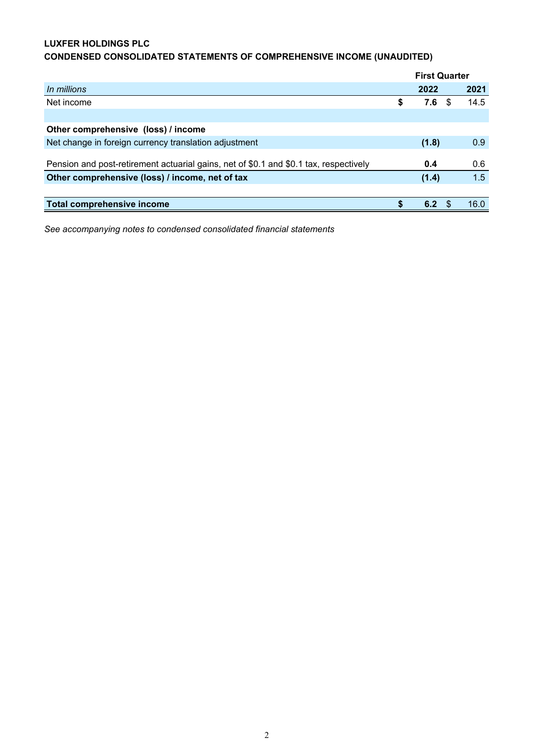# <span id="page-3-0"></span>**LUXFER HOLDINGS PLC**

# **CONDENSED CONSOLIDATED STATEMENTS OF COMPREHENSIVE INCOME (UNAUDITED)**

|                                                                                       |   | <b>First Quarter</b> |            |
|---------------------------------------------------------------------------------------|---|----------------------|------------|
| In millions                                                                           |   | 2022                 | 2021       |
| Net income                                                                            | S | 7.6                  | \$<br>14.5 |
|                                                                                       |   |                      |            |
| Other comprehensive (loss) / income                                                   |   |                      |            |
| Net change in foreign currency translation adjustment                                 |   | (1.8)                | 0.9        |
|                                                                                       |   |                      |            |
| Pension and post-retirement actuarial gains, net of \$0.1 and \$0.1 tax, respectively |   | 0.4                  | 0.6        |
| Other comprehensive (loss) / income, net of tax                                       |   | (1.4)                | 1.5        |
|                                                                                       |   |                      |            |
| <b>Total comprehensive income</b>                                                     |   | 6.2                  | 16.0       |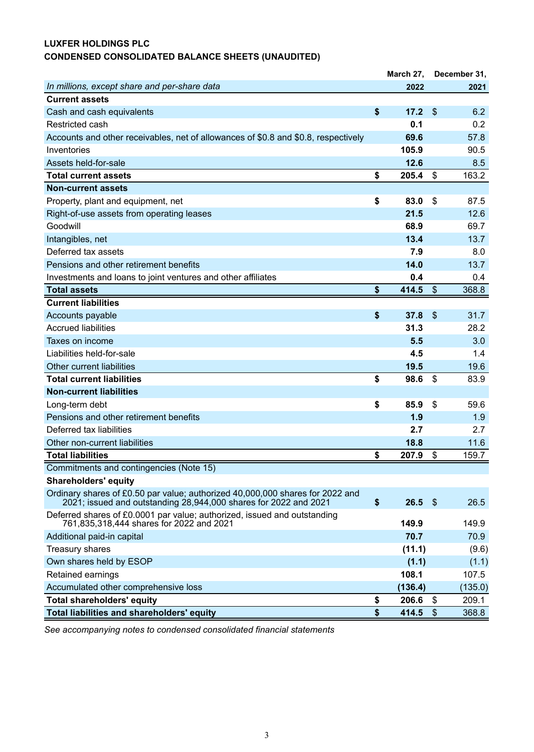# <span id="page-4-0"></span>**LUXFER HOLDINGS PLC CONDENSED CONSOLIDATED BALANCE SHEETS (UNAUDITED)**

|                                                                                                                                                   | March 27,   |                         | December 31, |
|---------------------------------------------------------------------------------------------------------------------------------------------------|-------------|-------------------------|--------------|
| In millions, except share and per-share data                                                                                                      | 2022        |                         | 2021         |
| <b>Current assets</b>                                                                                                                             |             |                         |              |
| Cash and cash equivalents                                                                                                                         | \$<br>17.2  | $\sqrt[6]{3}$           | 6.2          |
| Restricted cash                                                                                                                                   | 0.1         |                         | 0.2          |
| Accounts and other receivables, net of allowances of \$0.8 and \$0.8, respectively                                                                | 69.6        |                         | 57.8         |
| Inventories                                                                                                                                       | 105.9       |                         | 90.5         |
| Assets held-for-sale                                                                                                                              | 12.6        |                         | 8.5          |
| <b>Total current assets</b>                                                                                                                       | \$<br>205.4 | \$                      | 163.2        |
| <b>Non-current assets</b>                                                                                                                         |             |                         |              |
| Property, plant and equipment, net                                                                                                                | \$<br>83.0  | \$                      | 87.5         |
| Right-of-use assets from operating leases                                                                                                         | 21.5        |                         | 12.6         |
| Goodwill                                                                                                                                          | 68.9        |                         | 69.7         |
| Intangibles, net                                                                                                                                  | 13.4        |                         | 13.7         |
| Deferred tax assets                                                                                                                               | 7.9         |                         | 8.0          |
| Pensions and other retirement benefits                                                                                                            | 14.0        |                         | 13.7         |
| Investments and loans to joint ventures and other affiliates                                                                                      | 0.4         |                         | 0.4          |
| <b>Total assets</b>                                                                                                                               | \$<br>414.5 | \$                      | 368.8        |
| <b>Current liabilities</b>                                                                                                                        |             |                         |              |
| Accounts payable                                                                                                                                  | \$<br>37.8  | $\sqrt[6]{\frac{1}{2}}$ | 31.7         |
| <b>Accrued liabilities</b>                                                                                                                        | 31.3        |                         | 28.2         |
| Taxes on income                                                                                                                                   | 5.5         |                         | 3.0          |
| Liabilities held-for-sale                                                                                                                         | 4.5         |                         | 1.4          |
| Other current liabilities                                                                                                                         | 19.5        |                         | 19.6         |
| <b>Total current liabilities</b>                                                                                                                  | \$<br>98.6  | \$                      | 83.9         |
| <b>Non-current liabilities</b>                                                                                                                    |             |                         |              |
| Long-term debt                                                                                                                                    | \$<br>85.9  | \$                      | 59.6         |
| Pensions and other retirement benefits                                                                                                            | 1.9         |                         | 1.9          |
| Deferred tax liabilities                                                                                                                          | 2.7         |                         | 2.7          |
| Other non-current liabilities                                                                                                                     | 18.8        |                         | 11.6         |
| <b>Total liabilities</b>                                                                                                                          | \$<br>207.9 | \$                      | 159.7        |
| Commitments and contingencies (Note 15)                                                                                                           |             |                         |              |
| <b>Shareholders' equity</b>                                                                                                                       |             |                         |              |
| Ordinary shares of £0.50 par value; authorized 40,000,000 shares for 2022 and<br>2021; issued and outstanding 28,944,000 shares for 2022 and 2021 | \$<br>26.5  | $\sqrt[6]{3}$           | 26.5         |
| Deferred shares of £0.0001 par value; authorized, issued and outstanding<br>761,835,318,444 shares for 2022 and 2021                              | 149.9       |                         | 149.9        |
| Additional paid-in capital                                                                                                                        | 70.7        |                         | 70.9         |
| Treasury shares                                                                                                                                   | (11.1)      |                         | (9.6)        |
| Own shares held by ESOP                                                                                                                           | (1.1)       |                         | (1.1)        |
| Retained earnings                                                                                                                                 | 108.1       |                         | 107.5        |
| Accumulated other comprehensive loss                                                                                                              | (136.4)     |                         | (135.0)      |
| <b>Total shareholders' equity</b>                                                                                                                 | \$<br>206.6 | \$                      | 209.1        |
| <b>Total liabilities and shareholders' equity</b>                                                                                                 | \$<br>414.5 | $\$\$                   | 368.8        |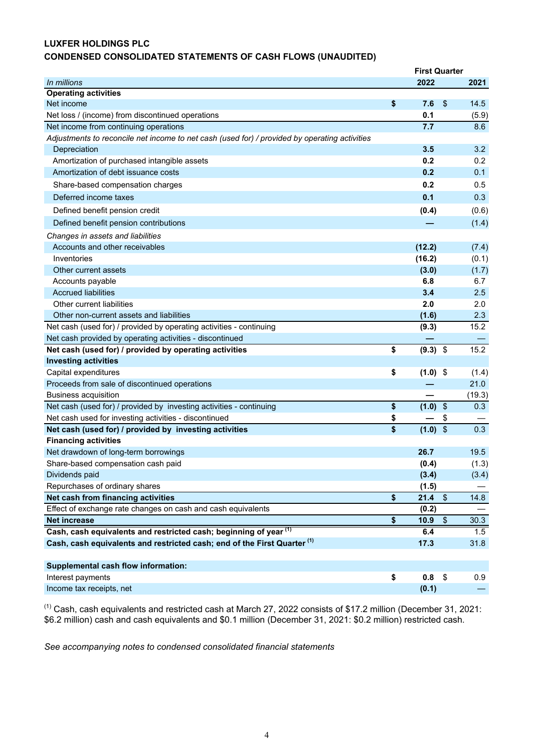# <span id="page-5-0"></span>**LUXFER HOLDINGS PLC CONDENSED CONSOLIDATED STATEMENTS OF CASH FLOWS (UNAUDITED)**

|                                                                                               | <b>First Quarter</b> |                         |        |
|-----------------------------------------------------------------------------------------------|----------------------|-------------------------|--------|
| In millions                                                                                   | 2022                 |                         | 2021   |
| <b>Operating activities</b>                                                                   |                      |                         |        |
| Net income                                                                                    | \$<br>7.6            | \$                      | 14.5   |
| Net loss / (income) from discontinued operations                                              | 0.1                  |                         | (5.9)  |
| Net income from continuing operations                                                         | 7.7                  |                         | 8.6    |
| Adjustments to reconcile net income to net cash (used for) / provided by operating activities |                      |                         |        |
| Depreciation                                                                                  | 3.5                  |                         | 3.2    |
| Amortization of purchased intangible assets                                                   | 0.2                  |                         | 0.2    |
| Amortization of debt issuance costs                                                           | 0.2                  |                         | 0.1    |
| Share-based compensation charges                                                              | 0.2                  |                         | 0.5    |
| Deferred income taxes                                                                         | 0.1                  |                         | 0.3    |
| Defined benefit pension credit                                                                | (0.4)                |                         | (0.6)  |
| Defined benefit pension contributions                                                         |                      |                         | (1.4)  |
| Changes in assets and liabilities                                                             |                      |                         |        |
| Accounts and other receivables                                                                | (12.2)               |                         | (7.4)  |
| Inventories                                                                                   | (16.2)               |                         | (0.1)  |
| Other current assets                                                                          | (3.0)                |                         | (1.7)  |
| Accounts payable                                                                              | 6.8                  |                         | 6.7    |
| <b>Accrued liabilities</b>                                                                    | 3.4                  |                         | 2.5    |
| Other current liabilities                                                                     | 2.0                  |                         | 2.0    |
| Other non-current assets and liabilities                                                      | (1.6)                |                         | 2.3    |
| Net cash (used for) / provided by operating activities - continuing                           | (9.3)                |                         | 15.2   |
| Net cash provided by operating activities - discontinued                                      |                      |                         |        |
| Net cash (used for) / provided by operating activities                                        | \$<br>$(9.3)$ \$     |                         | 15.2   |
| <b>Investing activities</b>                                                                   |                      |                         |        |
| Capital expenditures                                                                          | \$<br>$(1.0)$ \$     |                         | (1.4)  |
| Proceeds from sale of discontinued operations                                                 |                      |                         | 21.0   |
| <b>Business acquisition</b>                                                                   |                      |                         | (19.3) |
| Net cash (used for) / provided by investing activities - continuing                           | \$<br>(1.0)          | $\sqrt{2}$              | 0.3    |
| Net cash used for investing activities - discontinued                                         | \$                   | \$                      |        |
| Net cash (used for) / provided by investing activities                                        | \$<br>$(1.0)$ \$     |                         | 0.3    |
| <b>Financing activities</b>                                                                   |                      |                         |        |
| Net drawdown of long-term borrowings                                                          | 26.7                 |                         | 19.5   |
| Share-based compensation cash paid                                                            | (0.4)                |                         | (1.3)  |
| Dividends paid                                                                                | (3.4)                |                         | (3.4)  |
| Repurchases of ordinary shares                                                                | (1.5)                |                         |        |
| Net cash from financing activities                                                            | \$<br>21.4           | $\$\$                   | 14.8   |
| Effect of exchange rate changes on cash and cash equivalents                                  | (0.2)                |                         |        |
| <b>Net increase</b>                                                                           | \$<br>10.9           | $\sqrt[6]{\frac{1}{2}}$ | 30.3   |
| Cash, cash equivalents and restricted cash; beginning of year (1)                             | 6.4                  |                         | 1.5    |
| Cash, cash equivalents and restricted cash; end of the First Quarter <sup>(1)</sup>           | 17.3                 |                         | 31.8   |
| <b>Supplemental cash flow information:</b>                                                    |                      |                         |        |
| Interest payments                                                                             | \$<br>0.8            | \$                      | 0.9    |
| Income tax receipts, net                                                                      | (0.1)                |                         |        |
|                                                                                               |                      |                         |        |

 $<sup>(1)</sup>$  Cash, cash equivalents and restricted cash at March 27, 2022 consists of \$17.2 million (December 31, 2021:</sup> \$6.2 million) cash and cash equivalents and \$0.1 million (December 31, 2021: \$0.2 million) restricted cash.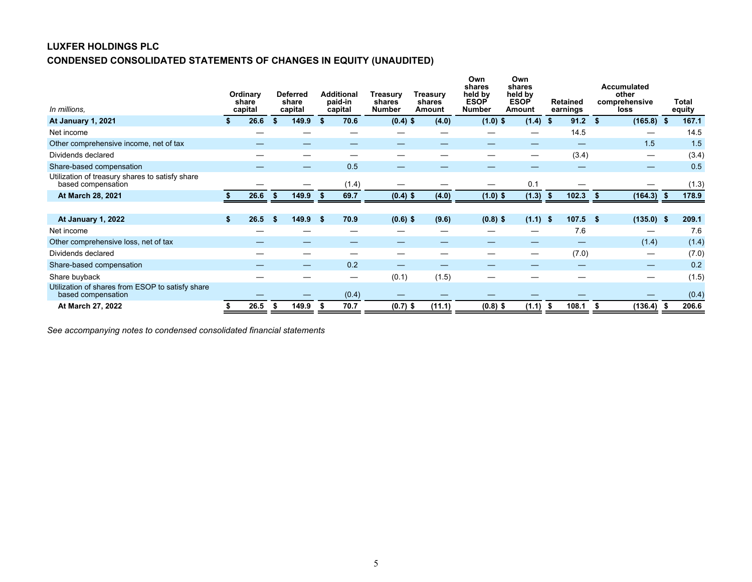# <span id="page-6-0"></span>**LUXFER HOLDINGS PLC CONDENSED CONSOLIDATED STATEMENTS OF CHANGES IN EQUITY (UNAUDITED)**

| In millions,                                                           |    | Ordinary<br>share<br>capital |      | <b>Deferred</b><br>share<br>capital |    | <b>Additional</b><br>paid-in<br>capital | Treasury<br>shares<br><b>Number</b> | Treasury<br>shares<br>Amount | Own<br>shares<br>held by<br><b>ESOP</b><br><b>Number</b> | Own<br>shares<br>held by<br><b>ESOP</b><br>Amount |            | <b>Retained</b><br>earnings |      | <b>Accumulated</b><br>other<br>comprehensive<br>loss | Total<br>equity |
|------------------------------------------------------------------------|----|------------------------------|------|-------------------------------------|----|-----------------------------------------|-------------------------------------|------------------------------|----------------------------------------------------------|---------------------------------------------------|------------|-----------------------------|------|------------------------------------------------------|-----------------|
| At January 1, 2021                                                     |    | 26.6                         | - \$ | 149.9                               | Ŝ. | 70.6                                    | $(0.4)$ \$                          | (4.0)                        | $(1.0)$ \$                                               | $(1.4)$ \$                                        |            | $91.2$ \$                   |      | $(165.8)$ \$                                         | 167.1           |
| Net income                                                             |    |                              |      |                                     |    |                                         |                                     |                              |                                                          |                                                   |            | 14.5                        |      |                                                      | 14.5            |
| Other comprehensive income, net of tax                                 |    |                              |      |                                     |    |                                         |                                     |                              |                                                          |                                                   |            |                             |      | 1.5                                                  | 1.5             |
| Dividends declared                                                     |    |                              |      |                                     |    |                                         |                                     |                              |                                                          | $\hspace{0.05cm}$                                 |            | (3.4)                       |      |                                                      | (3.4)           |
| Share-based compensation                                               |    |                              |      |                                     |    | 0.5                                     |                                     |                              |                                                          |                                                   |            |                             |      |                                                      | 0.5             |
| Utilization of treasury shares to satisfy share<br>based compensation  |    |                              |      |                                     |    | (1.4)                                   |                                     |                              |                                                          | 0.1                                               |            |                             |      |                                                      | (1.3)           |
| At March 28, 2021                                                      |    | 26.6                         |      | 149.9                               | -5 | 69.7                                    | $(0.4)$ \$                          | (4.0)                        | $(1.0)$ \$                                               | (1.3)                                             | $\sqrt{s}$ | 102.3                       | - \$ | (164.3)                                              | 178.9           |
|                                                                        |    |                              |      |                                     |    |                                         |                                     |                              |                                                          |                                                   |            |                             |      |                                                      |                 |
| At January 1, 2022                                                     | S. | 26.5                         | -5   | 149.9                               | S. | 70.9                                    | $(0.6)$ \$                          | (9.6)                        | $(0.8)$ \$                                               | $(1.1)$ \$                                        |            | 107.5                       | -\$  | (135.0)                                              | 209.1           |
| Net income                                                             |    |                              |      |                                     |    |                                         |                                     |                              |                                                          |                                                   |            | 7.6                         |      |                                                      | 7.6             |
| Other comprehensive loss, net of tax                                   |    |                              |      |                                     |    |                                         |                                     |                              |                                                          |                                                   |            |                             |      | (1.4)                                                | (1.4)           |
| Dividends declared                                                     |    |                              |      |                                     |    |                                         |                                     |                              |                                                          |                                                   |            | (7.0)                       |      |                                                      | (7.0)           |
| Share-based compensation                                               |    |                              |      |                                     |    | 0.2                                     |                                     |                              |                                                          |                                                   |            |                             |      |                                                      | 0.2             |
| Share buyback                                                          |    |                              |      |                                     |    |                                         | (0.1)                               | (1.5)                        |                                                          |                                                   |            |                             |      |                                                      | (1.5)           |
| Utilization of shares from ESOP to satisfy share<br>based compensation |    |                              |      |                                     |    | (0.4)                                   |                                     |                              |                                                          |                                                   |            |                             |      |                                                      | (0.4)           |
| At March 27, 2022                                                      |    | 26.5                         |      | 149.9                               | S  | 70.7                                    | $(0.7)$ \$                          | (11.1)                       | $(0.8)$ \$                                               | (1.1)                                             | -\$        | 108.1                       | S    | (136.4)                                              | 206.6           |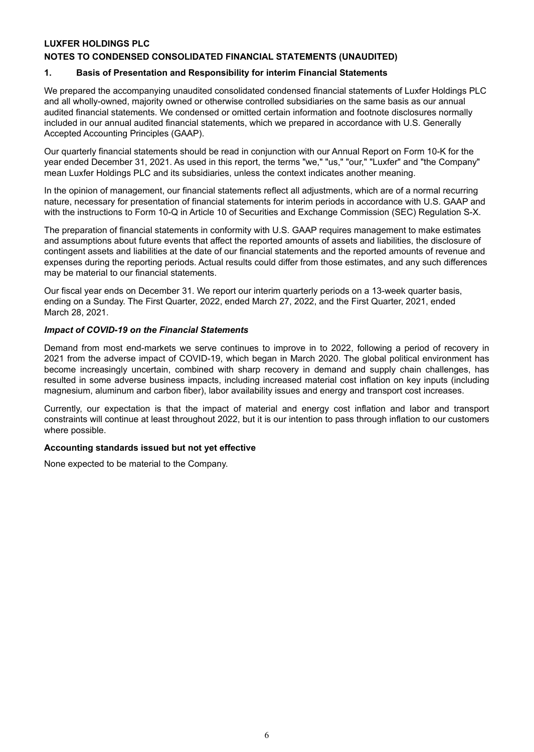# <span id="page-7-0"></span>**LUXFER HOLDINGS PLC**

## **NOTES TO CONDENSED CONSOLIDATED FINANCIAL STATEMENTS (UNAUDITED)**

#### **1. Basis of Presentation and Responsibility for interim Financial Statements**

We prepared the accompanying unaudited consolidated condensed financial statements of Luxfer Holdings PLC and all wholly-owned, majority owned or otherwise controlled subsidiaries on the same basis as our annual audited financial statements. We condensed or omitted certain information and footnote disclosures normally included in our annual audited financial statements, which we prepared in accordance with U.S. Generally Accepted Accounting Principles (GAAP).

Our quarterly financial statements should be read in conjunction with our Annual Report on Form 10-K for the year ended December 31, 2021. As used in this report, the terms "we," "us," "our," "Luxfer" and "the Company" mean Luxfer Holdings PLC and its subsidiaries, unless the context indicates another meaning.

In the opinion of management, our financial statements reflect all adjustments, which are of a normal recurring nature, necessary for presentation of financial statements for interim periods in accordance with U.S. GAAP and with the instructions to Form 10-Q in Article 10 of Securities and Exchange Commission (SEC) Regulation S-X.

The preparation of financial statements in conformity with U.S. GAAP requires management to make estimates and assumptions about future events that affect the reported amounts of assets and liabilities, the disclosure of contingent assets and liabilities at the date of our financial statements and the reported amounts of revenue and expenses during the reporting periods. Actual results could differ from those estimates, and any such differences may be material to our financial statements.

Our fiscal year ends on December 31. We report our interim quarterly periods on a 13-week quarter basis, ending on a Sunday. The First Quarter, 2022, ended March 27, 2022, and the First Quarter, 2021, ended March 28, 2021.

#### *Impact of COVID-19 on the Financial Statements*

Demand from most end-markets we serve continues to improve in to 2022, following a period of recovery in 2021 from the adverse impact of COVID-19, which began in March 2020. The global political environment has become increasingly uncertain, combined with sharp recovery in demand and supply chain challenges, has resulted in some adverse business impacts, including increased material cost inflation on key inputs (including magnesium, aluminum and carbon fiber), labor availability issues and energy and transport cost increases.

Currently, our expectation is that the impact of material and energy cost inflation and labor and transport constraints will continue at least throughout 2022, but it is our intention to pass through inflation to our customers where possible.

#### **Accounting standards issued but not yet effective**

None expected to be material to the Company.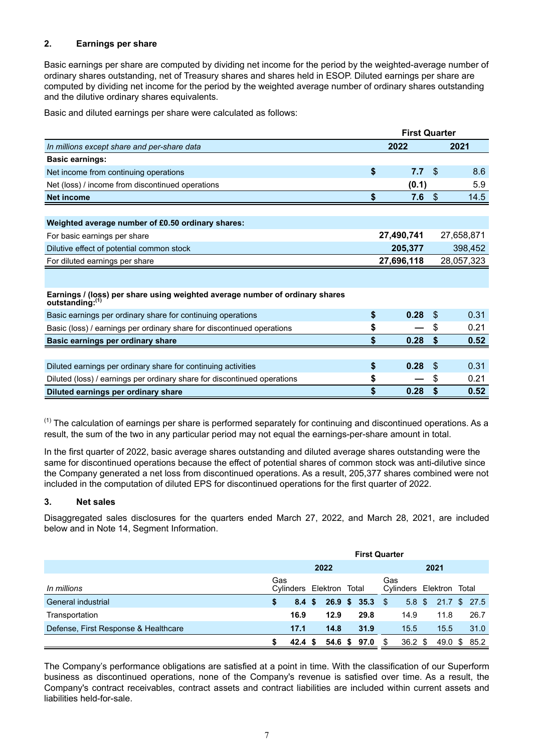# **2. Earnings per share**

Basic earnings per share are computed by dividing net income for the period by the weighted-average number of ordinary shares outstanding, net of Treasury shares and shares held in ESOP. Diluted earnings per share are computed by dividing net income for the period by the weighted average number of ordinary shares outstanding and the dilutive ordinary shares equivalents.

Basic and diluted earnings per share were calculated as follows:

|                                                                                                 | <b>First Quarter</b> |            |     |            |  |  |
|-------------------------------------------------------------------------------------------------|----------------------|------------|-----|------------|--|--|
| In millions except share and per-share data                                                     |                      | 2022       |     | 2021       |  |  |
| <b>Basic earnings:</b>                                                                          |                      |            |     |            |  |  |
| Net income from continuing operations                                                           | \$                   | 7.7        | \$  | 8.6        |  |  |
| Net (loss) / income from discontinued operations                                                |                      | (0.1)      |     | 5.9        |  |  |
| <b>Net income</b>                                                                               | \$                   | 7.6        | \$  | 14.5       |  |  |
|                                                                                                 |                      |            |     |            |  |  |
| Weighted average number of £0.50 ordinary shares:                                               |                      |            |     |            |  |  |
| For basic earnings per share                                                                    |                      | 27,490,741 |     | 27,658,871 |  |  |
| Dilutive effect of potential common stock                                                       | 205,377              |            |     | 398,452    |  |  |
| For diluted earnings per share                                                                  | 27,696,118           |            |     | 28,057,323 |  |  |
|                                                                                                 |                      |            |     |            |  |  |
| Earnings / (loss) per share using weighted average number of ordinary shares<br>outstanding:(1) |                      |            |     |            |  |  |
| Basic earnings per ordinary share for continuing operations                                     | \$                   | 0.28       | -S  | 0.31       |  |  |
| Basic (loss) / earnings per ordinary share for discontinued operations                          | \$                   |            | S   | 0.21       |  |  |
| Basic earnings per ordinary share                                                               | \$                   | 0.28       |     | 0.52       |  |  |
|                                                                                                 |                      |            |     |            |  |  |
| Diluted earnings per ordinary share for continuing activities                                   | \$                   | 0.28       | \$. | 0.31       |  |  |
| Diluted (loss) / earnings per ordinary share for discontinued operations                        | \$                   |            | S   | 0.21       |  |  |
| Diluted earnings per ordinary share                                                             | \$                   | 0.28       | \$  | 0.52       |  |  |

 $<sup>(1)</sup>$  The calculation of earnings per share is performed separately for continuing and discontinued operations. As a</sup> result, the sum of the two in any particular period may not equal the earnings-per-share amount in total.

In the first quarter of 2022, basic average shares outstanding and diluted average shares outstanding were the same for discontinued operations because the effect of potential shares of common stock was anti-dilutive since the Company generated a net loss from discontinued operations. As a result, 205,377 shares combined were not included in the computation of diluted EPS for discontinued operations for the first quarter of 2022.

# **3. Net sales**

Disaggregated sales disclosures for the quarters ended March 27, 2022, and March 28, 2021, are included below and in Note 14, Segment Information.

|                                      | <b>First Quarter</b> |                   |  |                |  |                     |     |                          |  |                     |  |      |
|--------------------------------------|----------------------|-------------------|--|----------------|--|---------------------|-----|--------------------------|--|---------------------|--|------|
|                                      |                      |                   |  | 2022           |  |                     |     |                          |  |                     |  |      |
| In millions                          | Gas                  | Cylinders         |  | Elektron Total |  |                     | Gas | Cylinders Elektron Total |  |                     |  |      |
| General industrial                   | \$                   | $8.4 \text{ }$ \$ |  |                |  | $26.9 \t5 35.3 \t5$ |     |                          |  | 5.8 \$ 21.7 \$ 27.5 |  |      |
| Transportation                       |                      | 16.9              |  | 12.9           |  | 29.8                |     | 14.9                     |  | 11.8                |  | 26.7 |
| Defense, First Response & Healthcare |                      | 17.1              |  | 14.8           |  | 31.9                |     | 15.5                     |  | 15.5                |  | 31.0 |
|                                      |                      | 42.4 S            |  | 54.6 \$        |  | 97.0                | -SS | $36.2 \text{ } $$        |  | 49.0 \$ 85.2        |  |      |

The Company's performance obligations are satisfied at a point in time. With the classification of our Superform business as discontinued operations, none of the Company's revenue is satisfied over time. As a result, the Company's contract receivables, contract assets and contract liabilities are included within current assets and liabilities held-for-sale.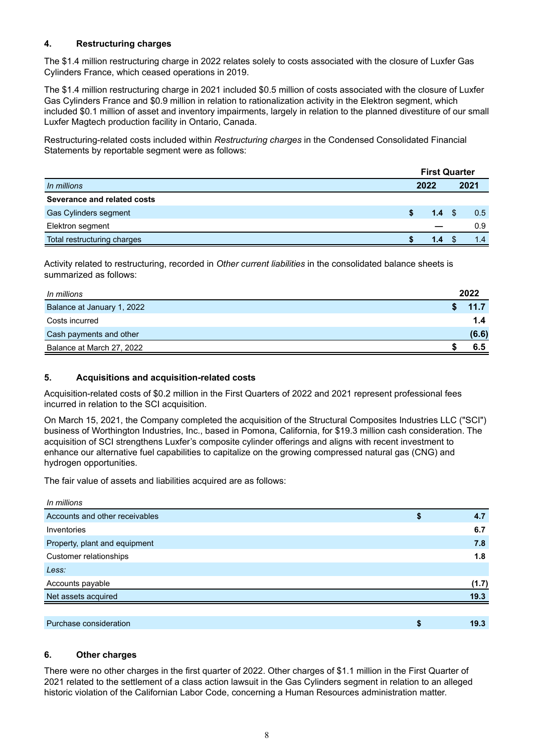# **4. Restructuring charges**

The \$1.4 million restructuring charge in 2022 relates solely to costs associated with the closure of Luxfer Gas Cylinders France, which ceased operations in 2019.

The \$1.4 million restructuring charge in 2021 included \$0.5 million of costs associated with the closure of Luxfer Gas Cylinders France and \$0.9 million in relation to rationalization activity in the Elektron segment, which included \$0.1 million of asset and inventory impairments, largely in relation to the planned divestiture of our small Luxfer Magtech production facility in Ontario, Canada.

Restructuring-related costs included within *Restructuring charges* in the Condensed Consolidated Financial Statements by reportable segment were as follows:

|                             |  | <b>First Quarter</b> |  |      |
|-----------------------------|--|----------------------|--|------|
| In millions                 |  | 2022                 |  | 2021 |
| Severance and related costs |  |                      |  |      |
| Gas Cylinders segment       |  | 1.4                  |  | 0.5  |
| Elektron segment            |  |                      |  | 0.9  |
| Total restructuring charges |  | 1.4                  |  | 1.4  |

Activity related to restructuring, recorded in *Other current liabilities* in the consolidated balance sheets is summarized as follows:

| In millions                | 2022  |
|----------------------------|-------|
| Balance at January 1, 2022 | 11.7  |
| Costs incurred             | 1.4   |
| Cash payments and other    | (6.6) |
| Balance at March 27, 2022  | 6.5   |

## **5. Acquisitions and acquisition-related costs**

Acquisition-related costs of \$0.2 million in the First Quarters of 2022 and 2021 represent professional fees incurred in relation to the SCI acquisition.

On March 15, 2021, the Company completed the acquisition of the Structural Composites Industries LLC ("SCI") business of Worthington Industries, Inc., based in Pomona, California, for \$19.3 million cash consideration. The acquisition of SCI strengthens Luxfer's composite cylinder offerings and aligns with recent investment to enhance our alternative fuel capabilities to capitalize on the growing compressed natural gas (CNG) and hydrogen opportunities.

The fair value of assets and liabilities acquired are as follows:

| In millions                    |   |       |
|--------------------------------|---|-------|
| Accounts and other receivables | S | 4.7   |
| Inventories                    |   | 6.7   |
| Property, plant and equipment  |   | 7.8   |
| Customer relationships         |   | 1.8   |
| Less:                          |   |       |
| Accounts payable               |   | (1.7) |
| Net assets acquired            |   | 19.3  |
|                                |   |       |
| Purchase consideration         | S | 19.3  |

#### **6. Other charges**

There were no other charges in the first quarter of 2022. Other charges of \$1.1 million in the First Quarter of 2021 related to the settlement of a class action lawsuit in the Gas Cylinders segment in relation to an alleged historic violation of the Californian Labor Code, concerning a Human Resources administration matter.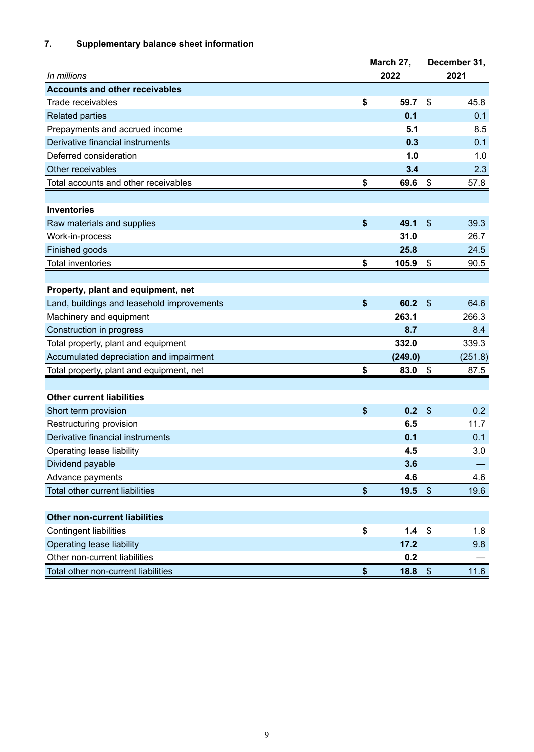# **7. Supplementary balance sheet information**

|                                            | March 27,              |                           | December 31, |  |  |
|--------------------------------------------|------------------------|---------------------------|--------------|--|--|
| In millions                                | 2022                   | 2021                      |              |  |  |
| <b>Accounts and other receivables</b>      |                        |                           |              |  |  |
| Trade receivables                          | \$<br>59.7             | \$                        | 45.8         |  |  |
| <b>Related parties</b>                     | 0.1                    |                           | 0.1          |  |  |
| Prepayments and accrued income             | 5.1                    |                           | 8.5          |  |  |
| Derivative financial instruments           | 0.3                    |                           | 0.1          |  |  |
| Deferred consideration                     | 1.0                    |                           | 1.0          |  |  |
| Other receivables                          | 3.4                    |                           | 2.3          |  |  |
| Total accounts and other receivables       | \$<br>69.6             | \$                        | 57.8         |  |  |
|                                            |                        |                           |              |  |  |
| <b>Inventories</b>                         |                        |                           |              |  |  |
| Raw materials and supplies                 | \$<br>49.1             | $\mathfrak{s}$            | 39.3         |  |  |
| Work-in-process                            | 31.0                   |                           | 26.7         |  |  |
| Finished goods                             | 25.8                   |                           | 24.5         |  |  |
| <b>Total inventories</b>                   | \$<br>105.9            | \$                        | 90.5         |  |  |
|                                            |                        |                           |              |  |  |
| Property, plant and equipment, net         |                        |                           |              |  |  |
| Land, buildings and leasehold improvements | \$<br>60.2             | $\boldsymbol{\mathsf{S}}$ | 64.6         |  |  |
| Machinery and equipment                    | 263.1                  |                           | 266.3        |  |  |
| Construction in progress                   | 8.7                    |                           | 8.4          |  |  |
| Total property, plant and equipment        | 332.0                  |                           | 339.3        |  |  |
| Accumulated depreciation and impairment    | (249.0)                |                           | (251.8)      |  |  |
| Total property, plant and equipment, net   | \$<br>83.0             | \$                        | 87.5         |  |  |
|                                            |                        |                           |              |  |  |
| <b>Other current liabilities</b>           |                        |                           |              |  |  |
| Short term provision                       | \$<br>0.2              | $\boldsymbol{\mathsf{S}}$ | 0.2          |  |  |
| Restructuring provision                    | 6.5                    |                           | 11.7         |  |  |
| Derivative financial instruments           | 0.1                    |                           | 0.1          |  |  |
| Operating lease liability                  | 4.5                    |                           | 3.0          |  |  |
| Dividend payable                           | 3.6                    |                           |              |  |  |
| Advance payments                           | 4.6                    |                           | 4.6          |  |  |
| Total other current liabilities            | \$<br>19.5             | $\boldsymbol{\mathsf{S}}$ | 19.6         |  |  |
|                                            |                        |                           |              |  |  |
| <b>Other non-current liabilities</b>       |                        |                           |              |  |  |
| <b>Contingent liabilities</b>              | \$<br>1.4 <sup>°</sup> |                           | 1.8          |  |  |
| <b>Operating lease liability</b>           | 17.2                   |                           | 9.8          |  |  |
| Other non-current liabilities              | 0.2                    |                           |              |  |  |
| Total other non-current liabilities        | \$<br>18.8             | $\sqrt[6]{\frac{1}{2}}$   | 11.6         |  |  |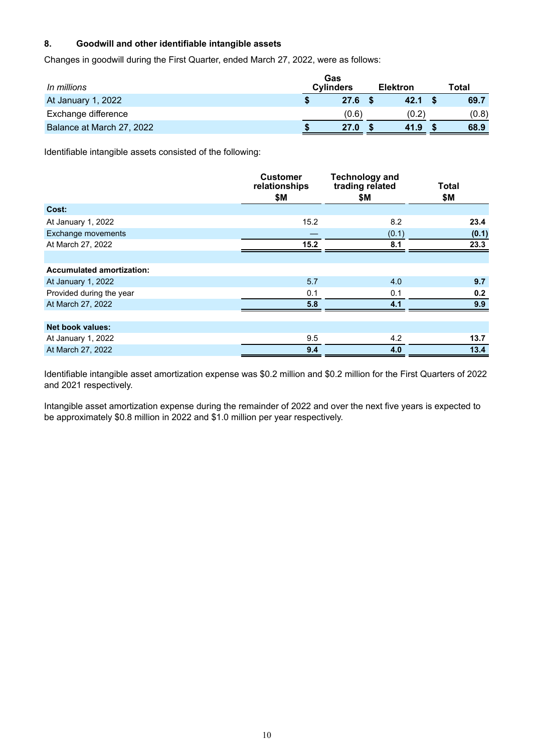# **8. Goodwill and other identifiable intangible assets**

Changes in goodwill during the First Quarter, ended March 27, 2022, were as follows:

| In millions               | Gas<br><b>Cylinders</b><br><b>Elektron</b> |       |  |       | Total |       |  |  |  |
|---------------------------|--------------------------------------------|-------|--|-------|-------|-------|--|--|--|
| At January 1, 2022        | 27.6                                       |       |  | 42.1  |       | 69.7  |  |  |  |
| Exchange difference       |                                            | (0.6) |  | (0.2) |       | (0.8) |  |  |  |
| Balance at March 27, 2022 | 27.0                                       |       |  | 41.9  |       | 68.9  |  |  |  |

Identifiable intangible assets consisted of the following:

|                                  | <b>Customer</b><br>relationships<br>\$Μ | <b>Technology and</b><br>trading related<br>\$M | Total<br>\$M |
|----------------------------------|-----------------------------------------|-------------------------------------------------|--------------|
| Cost:                            |                                         |                                                 |              |
| At January 1, 2022               | 15.2                                    | 8.2                                             | 23.4         |
| Exchange movements               |                                         | (0.1)                                           | (0.1)        |
| At March 27, 2022                | 15.2                                    | 8.1                                             | 23.3         |
|                                  |                                         |                                                 |              |
| <b>Accumulated amortization:</b> |                                         |                                                 |              |
| At January 1, 2022               | 5.7                                     | 4.0                                             | 9.7          |
| Provided during the year         | 0.1                                     | 0.1                                             | 0.2          |
| At March 27, 2022                | 5.8                                     | 4.1                                             | 9.9          |
|                                  |                                         |                                                 |              |
| <b>Net book values:</b>          |                                         |                                                 |              |
| At January 1, 2022               | 9.5                                     | 4.2                                             | 13.7         |
| At March 27, 2022                | 9.4                                     | 4.0                                             | 13.4         |

Identifiable intangible asset amortization expense was \$0.2 million and \$0.2 million for the First Quarters of 2022 and 2021 respectively.

Intangible asset amortization expense during the remainder of 2022 and over the next five years is expected to be approximately \$0.8 million in 2022 and \$1.0 million per year respectively.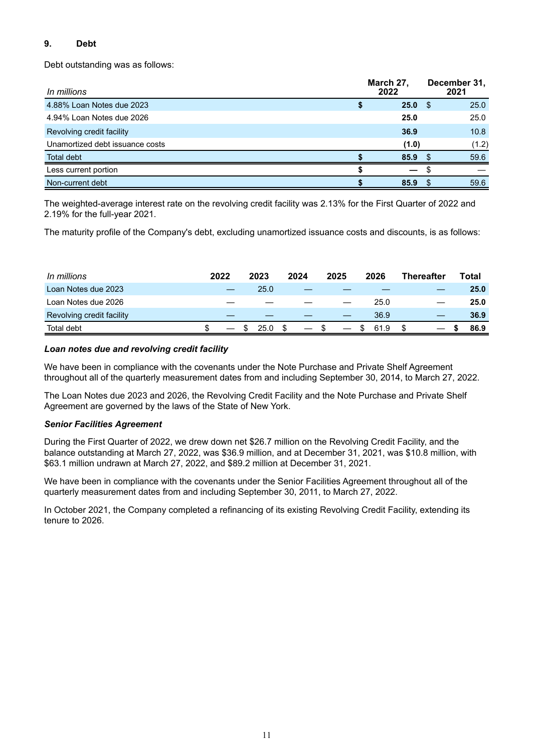# **9. Debt**

Debt outstanding was as follows:

| In millions                     | March 27,<br>2022 |      | December 31,<br>2021 |
|---------------------------------|-------------------|------|----------------------|
| 4.88% Loan Notes due 2023       | 25.0              | \$.  | 25.0                 |
| 4.94% Loan Notes due 2026       | 25.0              |      | 25.0                 |
| Revolving credit facility       | 36.9              |      | 10.8                 |
| Unamortized debt issuance costs | (1.0)             |      | (1.2)                |
| Total debt                      | 85.9              | - \$ | 59.6                 |
| Less current portion            |                   |      |                      |
| Non-current debt                | 85.9              |      | 59.6                 |

The weighted-average interest rate on the revolving credit facility was 2.13% for the First Quarter of 2022 and 2.19% for the full-year 2021.

The maturity profile of the Company's debt, excluding unamortized issuance costs and discounts, is as follows:

| In millions               | 2022 | 2023 | 2024 | 2025                     | 2026 | <b>Thereafter</b> | Total |      |
|---------------------------|------|------|------|--------------------------|------|-------------------|-------|------|
| Loan Notes due 2023       |      | 25.0 |      |                          |      |                   |       | 25.0 |
| Loan Notes due 2026       |      |      |      |                          | 25.0 |                   |       | 25.0 |
| Revolving credit facility |      |      |      |                          | 36.9 |                   |       | 36.9 |
| <b>Total debt</b>         |      | 25.0 |      | $\overline{\phantom{m}}$ | 61.9 |                   |       | 86.9 |

# *Loan notes due and revolving credit facility*

We have been in compliance with the covenants under the Note Purchase and Private Shelf Agreement throughout all of the quarterly measurement dates from and including September 30, 2014, to March 27, 2022.

The Loan Notes due 2023 and 2026, the Revolving Credit Facility and the Note Purchase and Private Shelf Agreement are governed by the laws of the State of New York.

#### *Senior Facilities Agreement*

During the First Quarter of 2022, we drew down net \$26.7 million on the Revolving Credit Facility, and the balance outstanding at March 27, 2022, was \$36.9 million, and at December 31, 2021, was \$10.8 million, with \$63.1 million undrawn at March 27, 2022, and \$89.2 million at December 31, 2021.

We have been in compliance with the covenants under the Senior Facilities Agreement throughout all of the quarterly measurement dates from and including September 30, 2011, to March 27, 2022.

In October 2021, the Company completed a refinancing of its existing Revolving Credit Facility, extending its tenure to 2026.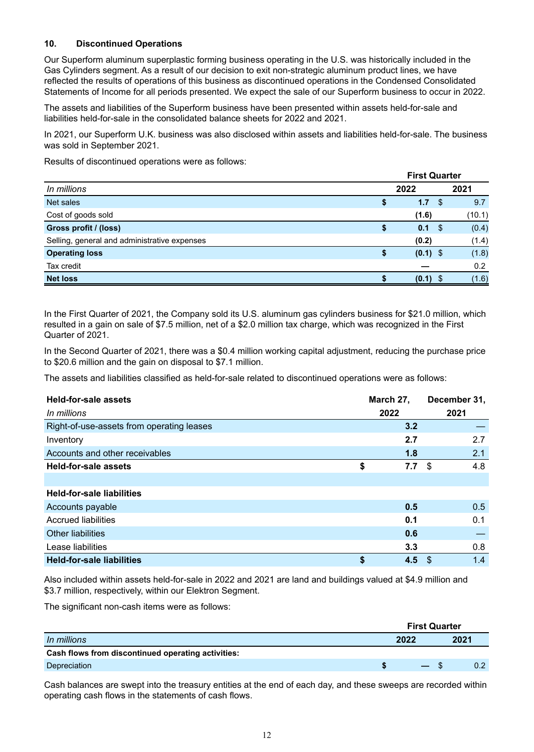## **10. Discontinued Operations**

Our Superform aluminum superplastic forming business operating in the U.S. was historically included in the Gas Cylinders segment. As a result of our decision to exit non-strategic aluminum product lines, we have reflected the results of operations of this business as discontinued operations in the Condensed Consolidated Statements of Income for all periods presented. We expect the sale of our Superform business to occur in 2022.

The assets and liabilities of the Superform business have been presented within assets held-for-sale and liabilities held-for-sale in the consolidated balance sheets for 2022 and 2021.

In 2021, our Superform U.K. business was also disclosed within assets and liabilities held-for-sale. The business was sold in September 2021.

Results of discontinued operations were as follows:

|                                              | <b>First Quarter</b> |            |      |        |  |
|----------------------------------------------|----------------------|------------|------|--------|--|
| In millions                                  |                      | 2022       |      | 2021   |  |
| Net sales                                    | Φ                    | 1.7        | \$.  | 9.7    |  |
| Cost of goods sold                           |                      | (1.6)      |      | (10.1) |  |
| Gross profit / (loss)                        | S                    | 0.1        | - \$ | (0.4)  |  |
| Selling, general and administrative expenses |                      | (0.2)      |      | (1.4)  |  |
| <b>Operating loss</b>                        | S                    | $(0.1)$ \$ |      | (1.8)  |  |
| Tax credit                                   |                      |            |      | 0.2    |  |
| <b>Net loss</b>                              |                      | (0.1)      |      | (1.6)  |  |

In the First Quarter of 2021, the Company sold its U.S. aluminum gas cylinders business for \$21.0 million, which resulted in a gain on sale of \$7.5 million, net of a \$2.0 million tax charge, which was recognized in the First Quarter of 2021.

In the Second Quarter of 2021, there was a \$0.4 million working capital adjustment, reducing the purchase price to \$20.6 million and the gain on disposal to \$7.1 million.

The assets and liabilities classified as held-for-sale related to discontinued operations were as follows:

| Held-for-sale assets<br>In millions       | March 27,<br>2022 | December 31,<br>2021 |     |  |
|-------------------------------------------|-------------------|----------------------|-----|--|
| Right-of-use-assets from operating leases | 3.2               |                      |     |  |
| Inventory                                 | 2.7               |                      | 2.7 |  |
| Accounts and other receivables            | 1.8               |                      | 2.1 |  |
| <b>Held-for-sale assets</b>               | \$<br>7.7         | \$                   | 4.8 |  |
|                                           |                   |                      |     |  |
| <b>Held-for-sale liabilities</b>          |                   |                      |     |  |
| Accounts payable                          | 0.5               |                      | 0.5 |  |
| <b>Accrued liabilities</b>                | 0.1               |                      | 0.1 |  |
| <b>Other liabilities</b>                  | 0.6               |                      |     |  |
| Lease liabilities                         | 3.3               |                      | 0.8 |  |
| <b>Held-for-sale liabilities</b>          | \$<br>4.5         | -\$                  | 1.4 |  |

Also included within assets held-for-sale in 2022 and 2021 are land and buildings valued at \$4.9 million and \$3.7 million, respectively, within our Elektron Segment.

The significant non-cash items were as follows:

|                                                    | <b>First Quarter</b> |        |  |                  |  |
|----------------------------------------------------|----------------------|--------|--|------------------|--|
| In millions                                        | 2022                 |        |  | 2021             |  |
| Cash flows from discontinued operating activities: |                      |        |  |                  |  |
| Depreciation                                       |                      | $-$ \$ |  | 0.2 <sub>0</sub> |  |

Cash balances are swept into the treasury entities at the end of each day, and these sweeps are recorded within operating cash flows in the statements of cash flows.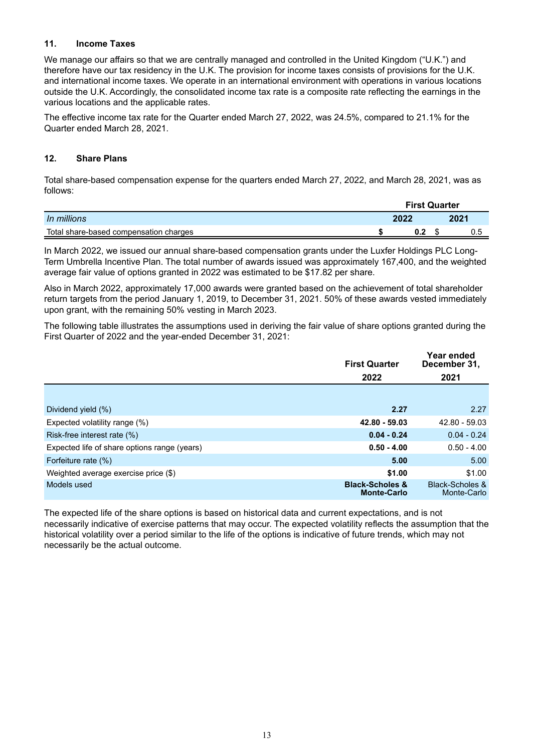#### **11. Income Taxes**

We manage our affairs so that we are centrally managed and controlled in the United Kingdom ("U.K.") and therefore have our tax residency in the U.K. The provision for income taxes consists of provisions for the U.K. and international income taxes. We operate in an international environment with operations in various locations outside the U.K. Accordingly, the consolidated income tax rate is a composite rate reflecting the earnings in the various locations and the applicable rates.

The effective income tax rate for the Quarter ended March 27, 2022, was 24.5%, compared to 21.1% for the Quarter ended March 28, 2021.

#### **12. Share Plans**

Total share-based compensation expense for the quarters ended March 27, 2022, and March 28, 2021, was as follows:

|                                        | <b>First Quarter</b> |      |  |      |
|----------------------------------------|----------------------|------|--|------|
| In millions                            |                      | 2022 |  | 2021 |
| Total share-based compensation charges |                      | 0.2  |  | 0.5  |

In March 2022, we issued our annual share-based compensation grants under the Luxfer Holdings PLC Long-Term Umbrella Incentive Plan. The total number of awards issued was approximately 167,400, and the weighted average fair value of options granted in 2022 was estimated to be \$17.82 per share.

Also in March 2022, approximately 17,000 awards were granted based on the achievement of total shareholder return targets from the period January 1, 2019, to December 31, 2021. 50% of these awards vested immediately upon grant, with the remaining 50% vesting in March 2023.

The following table illustrates the assumptions used in deriving the fair value of share options granted during the First Quarter of 2022 and the year-ended December 31, 2021:

|                                              | <b>First Quarter</b>                             | Year ended<br>December 31,                |
|----------------------------------------------|--------------------------------------------------|-------------------------------------------|
|                                              | 2022                                             | 2021                                      |
|                                              |                                                  |                                           |
| Dividend yield (%)                           | 2.27                                             | 2.27                                      |
| Expected volatility range (%)                | 42.80 - 59.03                                    | 42.80 - 59.03                             |
| Risk-free interest rate (%)                  | $0.04 - 0.24$                                    | $0.04 - 0.24$                             |
| Expected life of share options range (years) | $0.50 - 4.00$                                    | $0.50 - 4.00$                             |
| Forfeiture rate (%)                          | 5.00                                             | 5.00                                      |
| Weighted average exercise price (\$)         | \$1.00                                           | \$1.00                                    |
| Models used                                  | <b>Black-Scholes &amp;</b><br><b>Monte-Carlo</b> | <b>Black-Scholes &amp;</b><br>Monte-Carlo |

The expected life of the share options is based on historical data and current expectations, and is not necessarily indicative of exercise patterns that may occur. The expected volatility reflects the assumption that the historical volatility over a period similar to the life of the options is indicative of future trends, which may not necessarily be the actual outcome.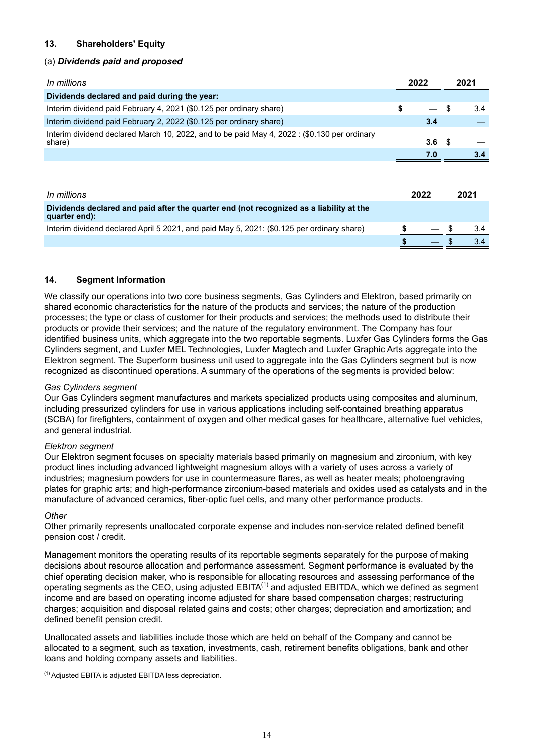# **13. Shareholders' Equity**

#### (a) *Dividends paid and proposed*

| In millions                                                                                            | 2022 |     | 2021 |
|--------------------------------------------------------------------------------------------------------|------|-----|------|
| Dividends declared and paid during the year:                                                           |      |     |      |
| Interim dividend paid February 4, 2021 (\$0.125 per ordinary share)                                    |      |     | 3.4  |
| Interim dividend paid February 2, 2022 (\$0.125 per ordinary share)                                    |      | 3.4 |      |
| Interim dividend declared March 10, 2022, and to be paid May 4, 2022 : (\$0.130 per ordinary<br>share) |      | 3.6 |      |
|                                                                                                        |      | 7.0 |      |

| In millions                                                                                              | 2022 | 2021 |
|----------------------------------------------------------------------------------------------------------|------|------|
| Dividends declared and paid after the quarter end (not recognized as a liability at the<br>quarter end): |      |      |
| Interim dividend declared April 5 2021, and paid May 5, 2021: (\$0.125 per ordinary share)               |      |      |
|                                                                                                          |      |      |

#### **14. Segment Information**

We classify our operations into two core business segments, Gas Cylinders and Elektron, based primarily on shared economic characteristics for the nature of the products and services; the nature of the production processes; the type or class of customer for their products and services; the methods used to distribute their products or provide their services; and the nature of the regulatory environment. The Company has four identified business units, which aggregate into the two reportable segments. Luxfer Gas Cylinders forms the Gas Cylinders segment, and Luxfer MEL Technologies, Luxfer Magtech and Luxfer Graphic Arts aggregate into the Elektron segment. The Superform business unit used to aggregate into the Gas Cylinders segment but is now recognized as discontinued operations. A summary of the operations of the segments is provided below:

#### *Gas Cylinders segment*

Our Gas Cylinders segment manufactures and markets specialized products using composites and aluminum, including pressurized cylinders for use in various applications including self-contained breathing apparatus (SCBA) for firefighters, containment of oxygen and other medical gases for healthcare, alternative fuel vehicles, and general industrial.

#### *Elektron segment*

Our Elektron segment focuses on specialty materials based primarily on magnesium and zirconium, with key product lines including advanced lightweight magnesium alloys with a variety of uses across a variety of industries; magnesium powders for use in countermeasure flares, as well as heater meals; photoengraving plates for graphic arts; and high-performance zirconium-based materials and oxides used as catalysts and in the manufacture of advanced ceramics, fiber-optic fuel cells, and many other performance products.

#### *Other*

Other primarily represents unallocated corporate expense and includes non-service related defined benefit pension cost / credit.

Management monitors the operating results of its reportable segments separately for the purpose of making decisions about resource allocation and performance assessment. Segment performance is evaluated by the chief operating decision maker, who is responsible for allocating resources and assessing performance of the operating segments as the CEO, using adjusted  $EBITA^{(1)}$  and adjusted  $EBITDA$ , which we defined as segment income and are based on operating income adjusted for share based compensation charges; restructuring charges; acquisition and disposal related gains and costs; other charges; depreciation and amortization; and defined benefit pension credit.

Unallocated assets and liabilities include those which are held on behalf of the Company and cannot be allocated to a segment, such as taxation, investments, cash, retirement benefits obligations, bank and other loans and holding company assets and liabilities.

(1) Adjusted EBITA is adjusted EBITDA less depreciation.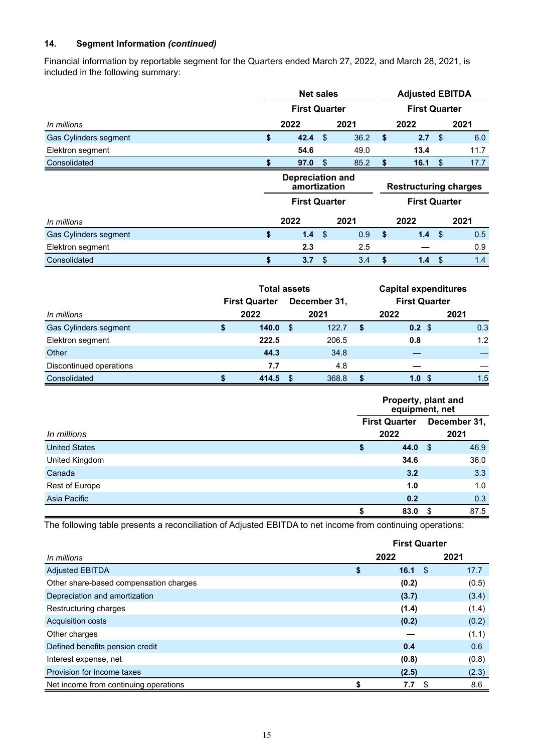## **14. Segment Information** *(continued)*

Financial information by reportable segment for the Quarters ended March 27, 2022, and March 28, 2021, is included in the following summary:

|                       |    | <b>Net sales</b>                        |    |      | <b>Adjusted EBITDA</b>       |                 |     |      |
|-----------------------|----|-----------------------------------------|----|------|------------------------------|-----------------|-----|------|
|                       |    | <b>First Quarter</b>                    |    |      | <b>First Quarter</b>         |                 |     |      |
| In millions           |    | 2022                                    |    | 2021 |                              | 2022            |     | 2021 |
| Gas Cylinders segment | \$ | 42.4                                    | \$ | 36.2 | \$                           | 2.7             | -\$ | 6.0  |
| Elektron segment      |    | 54.6                                    |    | 49.0 |                              | 13.4            |     | 11.7 |
| Consolidated          |    | 97.0                                    | \$ | 85.2 | S                            | $16.1 \quad$ \$ |     | 17.7 |
|                       |    | <b>Depreciation and</b><br>amortization |    |      | <b>Restructuring charges</b> |                 |     |      |
|                       |    | <b>First Quarter</b>                    |    |      | <b>First Quarter</b>         |                 |     |      |
| In millions           |    | 2022                                    |    | 2021 |                              | 2022            |     | 2021 |
| Gas Cylinders segment | \$ | 1.4                                     | \$ | 0.9  | \$                           | $1.4^{\circ}$   | -\$ | 0.5  |
| Elektron segment      |    | 2.3                                     |    | 2.5  |                              |                 |     | 0.9  |
| Consolidated          | S  | 3.7                                     | \$ | 3.4  | \$                           | 1.4             | -\$ | 1.4  |

|                         | <b>Total assets</b>  |     |              |  | <b>Capital expenditures</b> |      |
|-------------------------|----------------------|-----|--------------|--|-----------------------------|------|
|                         | <b>First Quarter</b> |     | December 31, |  | <b>First Quarter</b>        |      |
| In millions             | 2022                 |     | 2021         |  | 2022                        | 2021 |
| Gas Cylinders segment   | 140.0                | -S  | 122.7        |  | $0.2 \text{ } $$            | 0.3  |
| Elektron segment        | 222.5                |     | 206.5        |  | 0.8                         | 1.2  |
| Other                   | 44.3                 |     | 34.8         |  |                             |      |
| Discontinued operations | 7.7                  |     | 4.8          |  |                             |      |
| Consolidated            | 414.5                | \$. | 368.8        |  | 1.0                         | 1.5  |

| In millions          | Property, plant and<br>equipment, net |     |                      |  |  |  |
|----------------------|---------------------------------------|-----|----------------------|--|--|--|
|                      | <b>First Quarter</b><br>2022          |     | December 31,<br>2021 |  |  |  |
| <b>United States</b> | 44.0<br>\$                            | \$  | 46.9                 |  |  |  |
| United Kingdom       | 34.6                                  |     | 36.0                 |  |  |  |
| Canada               | 3.2                                   |     | 3.3                  |  |  |  |
| Rest of Europe       | 1.0                                   |     | 1.0                  |  |  |  |
| Asia Pacific         | 0.2                                   |     | 0.3                  |  |  |  |
|                      | 83.0                                  | -\$ | 87.5                 |  |  |  |

The following table presents a reconciliation of Adjusted EBITDA to net income from continuing operations:

|                                        | <b>First Quarter</b> |                 |       |  |  |
|----------------------------------------|----------------------|-----------------|-------|--|--|
| In millions                            |                      | 2022            | 2021  |  |  |
| <b>Adjusted EBITDA</b>                 | \$                   | $16.1 \quad$ \$ | 17.7  |  |  |
| Other share-based compensation charges |                      | (0.2)           | (0.5) |  |  |
| Depreciation and amortization          |                      | (3.7)           | (3.4) |  |  |
| Restructuring charges                  |                      | (1.4)           | (1.4) |  |  |
| <b>Acquisition costs</b>               |                      | (0.2)           | (0.2) |  |  |
| Other charges                          |                      |                 | (1.1) |  |  |
| Defined benefits pension credit        |                      | 0.4             | 0.6   |  |  |
| Interest expense, net                  |                      | (0.8)           | (0.8) |  |  |
| Provision for income taxes             |                      | (2.5)           | (2.3) |  |  |
| Net income from continuing operations  |                      | 7.7<br>- \$     | 8.6   |  |  |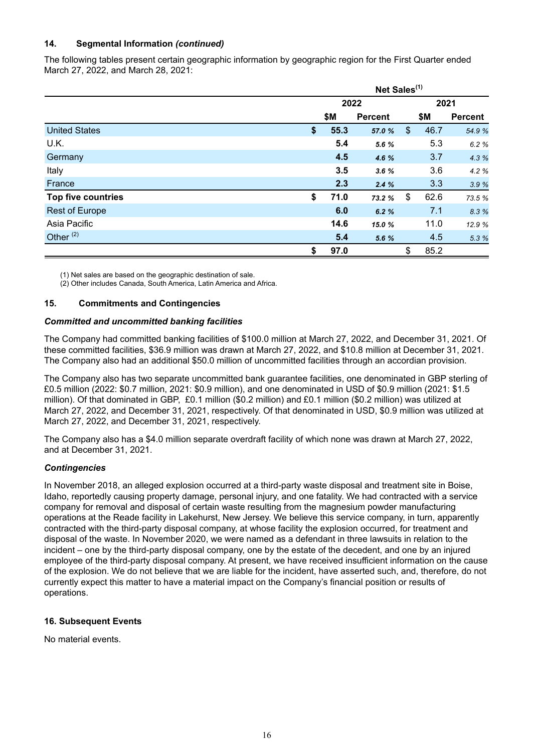# **14. Segmental Information** *(continued)*

The following tables present certain geographic information by geographic region for the First Quarter ended March 27, 2022, and March 28, 2021:

|                           | Net Sales <sup>(1)</sup> |                |    |      |                |  |  |  |
|---------------------------|--------------------------|----------------|----|------|----------------|--|--|--|
|                           | 2022                     |                |    | 2021 |                |  |  |  |
|                           | \$М                      | <b>Percent</b> |    | \$Μ  | <b>Percent</b> |  |  |  |
| <b>United States</b>      | \$<br>55.3               | 57.0 %         | \$ | 46.7 | 54.9 %         |  |  |  |
| U.K.                      | 5.4                      | 5.6 %          |    | 5.3  | 6.2 %          |  |  |  |
| Germany                   | 4.5                      | 4.6 %          |    | 3.7  | 4.3 %          |  |  |  |
| Italy                     | 3.5                      | 3.6%           |    | 3.6  | 4.2 %          |  |  |  |
| France                    | 2.3                      | 2.4%           |    | 3.3  | 3.9 %          |  |  |  |
| <b>Top five countries</b> | \$<br>71.0               | 73.2 %         | \$ | 62.6 | 73.5 %         |  |  |  |
| <b>Rest of Europe</b>     | 6.0                      | 6.2%           |    | 7.1  | 8.3 %          |  |  |  |
| Asia Pacific              | 14.6                     | 15.0%          |    | 11.0 | 12.9 %         |  |  |  |
| Other $(2)$               | 5.4                      | 5.6 %          |    | 4.5  | 5.3 %          |  |  |  |
|                           | \$<br>97.0               |                | \$ | 85.2 |                |  |  |  |

(1) Net sales are based on the geographic destination of sale.

(2) Other includes Canada, South America, Latin America and Africa.

#### **15. Commitments and Contingencies**

#### *Committed and uncommitted banking facilities*

The Company had committed banking facilities of \$100.0 million at March 27, 2022, and December 31, 2021. Of these committed facilities, \$36.9 million was drawn at March 27, 2022, and \$10.8 million at December 31, 2021. The Company also had an additional \$50.0 million of uncommitted facilities through an accordian provision.

The Company also has two separate uncommitted bank guarantee facilities, one denominated in GBP sterling of £0.5 million (2022: \$0.7 million, 2021: \$0.9 million), and one denominated in USD of \$0.9 million (2021: \$1.5 million). Of that dominated in GBP, £0.1 million (\$0.2 million) and £0.1 million (\$0.2 million) was utilized at March 27, 2022, and December 31, 2021, respectively. Of that denominated in USD, \$0.9 million was utilized at March 27, 2022, and December 31, 2021, respectively.

The Company also has a \$4.0 million separate overdraft facility of which none was drawn at March 27, 2022, and at December 31, 2021.

#### *Contingencies*

In November 2018, an alleged explosion occurred at a third-party waste disposal and treatment site in Boise, Idaho, reportedly causing property damage, personal injury, and one fatality. We had contracted with a service company for removal and disposal of certain waste resulting from the magnesium powder manufacturing operations at the Reade facility in Lakehurst, New Jersey. We believe this service company, in turn, apparently contracted with the third-party disposal company, at whose facility the explosion occurred, for treatment and disposal of the waste. In November 2020, we were named as a defendant in three lawsuits in relation to the incident – one by the third-party disposal company, one by the estate of the decedent, and one by an injured employee of the third-party disposal company. At present, we have received insufficient information on the cause of the explosion. We do not believe that we are liable for the incident, have asserted such, and, therefore, do not currently expect this matter to have a material impact on the Company's financial position or results of operations.

#### **16. Subsequent Events**

No material events.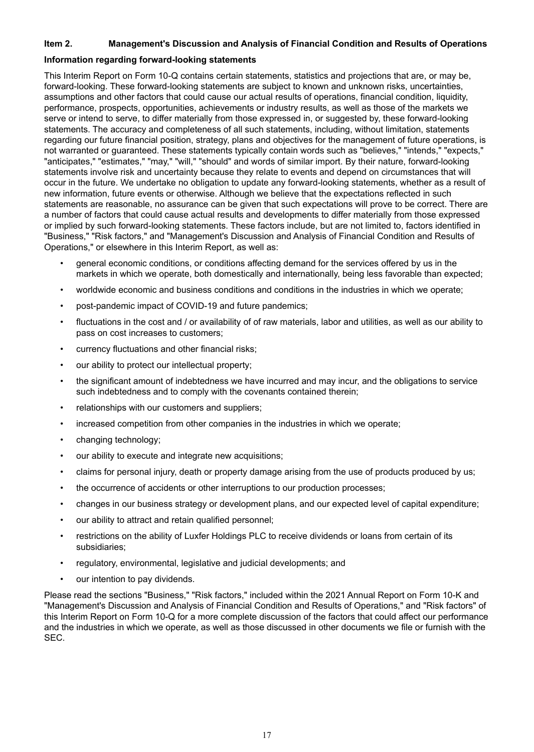#### <span id="page-18-0"></span>**Item 2. Management's Discussion and Analysis of Financial Condition and Results of Operations**

#### **Information regarding forward-looking statements**

This Interim Report on Form 10-Q contains certain statements, statistics and projections that are, or may be, forward-looking. These forward-looking statements are subject to known and unknown risks, uncertainties, assumptions and other factors that could cause our actual results of operations, financial condition, liquidity, performance, prospects, opportunities, achievements or industry results, as well as those of the markets we serve or intend to serve, to differ materially from those expressed in, or suggested by, these forward-looking statements. The accuracy and completeness of all such statements, including, without limitation, statements regarding our future financial position, strategy, plans and objectives for the management of future operations, is not warranted or guaranteed. These statements typically contain words such as "believes," "intends," "expects," "anticipates," "estimates," "may," "will," "should" and words of similar import. By their nature, forward-looking statements involve risk and uncertainty because they relate to events and depend on circumstances that will occur in the future. We undertake no obligation to update any forward-looking statements, whether as a result of new information, future events or otherwise. Although we believe that the expectations reflected in such statements are reasonable, no assurance can be given that such expectations will prove to be correct. There are a number of factors that could cause actual results and developments to differ materially from those expressed or implied by such forward-looking statements. These factors include, but are not limited to, factors identified in "Business," "Risk factors," and "Management's Discussion and Analysis of Financial Condition and Results of Operations," or elsewhere in this Interim Report, as well as:

- general economic conditions, or conditions affecting demand for the services offered by us in the markets in which we operate, both domestically and internationally, being less favorable than expected;
- worldwide economic and business conditions and conditions in the industries in which we operate;
- post-pandemic impact of COVID-19 and future pandemics;
- fluctuations in the cost and / or availability of of raw materials, labor and utilities, as well as our ability to pass on cost increases to customers;
- currency fluctuations and other financial risks;
- our ability to protect our intellectual property;
- the significant amount of indebtedness we have incurred and may incur, and the obligations to service such indebtedness and to comply with the covenants contained therein;
- relationships with our customers and suppliers;
- increased competition from other companies in the industries in which we operate;
- changing technology;
- our ability to execute and integrate new acquisitions;
- claims for personal injury, death or property damage arising from the use of products produced by us;
- the occurrence of accidents or other interruptions to our production processes;
- changes in our business strategy or development plans, and our expected level of capital expenditure;
- our ability to attract and retain qualified personnel;
- restrictions on the ability of Luxfer Holdings PLC to receive dividends or loans from certain of its subsidiaries;
- regulatory, environmental, legislative and judicial developments; and
- our intention to pay dividends.

Please read the sections "Business," "Risk factors," included within the 2021 Annual Report on Form 10-K and "Management's Discussion and Analysis of Financial Condition and Results of Operations," and "Risk factors" of this Interim Report on Form 10-Q for a more complete discussion of the factors that could affect our performance and the industries in which we operate, as well as those discussed in other documents we file or furnish with the SEC.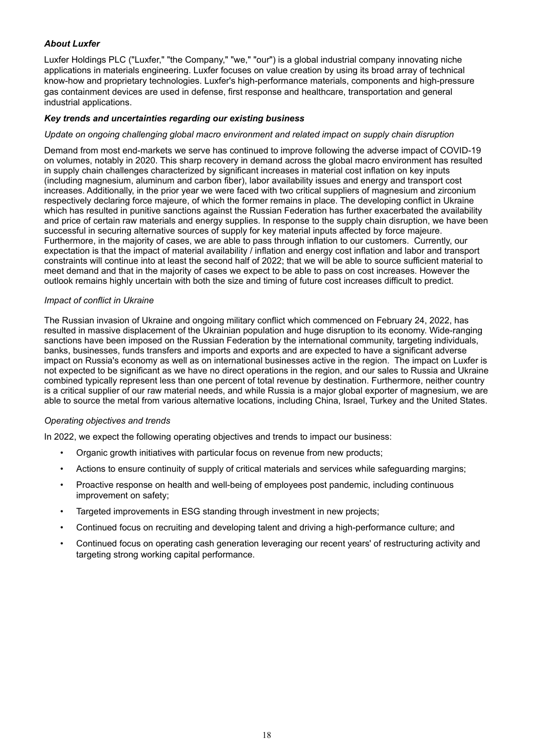# *About Luxfer*

Luxfer Holdings PLC ("Luxfer," "the Company," "we," "our") is a global industrial company innovating niche applications in materials engineering. Luxfer focuses on value creation by using its broad array of technical know-how and proprietary technologies. Luxfer's high-performance materials, components and high-pressure gas containment devices are used in defense, first response and healthcare, transportation and general industrial applications.

#### *Key trends and uncertainties regarding our existing business*

#### *Update on ongoing challenging global macro environment and related impact on supply chain disruption*

Demand from most end-markets we serve has continued to improve following the adverse impact of COVID-19 on volumes, notably in 2020. This sharp recovery in demand across the global macro environment has resulted in supply chain challenges characterized by significant increases in material cost inflation on key inputs (including magnesium, aluminum and carbon fiber), labor availability issues and energy and transport cost increases. Additionally, in the prior year we were faced with two critical suppliers of magnesium and zirconium respectively declaring force majeure, of which the former remains in place. The developing conflict in Ukraine which has resulted in punitive sanctions against the Russian Federation has further exacerbated the availability and price of certain raw materials and energy supplies. In response to the supply chain disruption, we have been successful in securing alternative sources of supply for key material inputs affected by force majeure. Furthermore, in the majority of cases, we are able to pass through inflation to our customers. Currently, our expectation is that the impact of material availability / inflation and energy cost inflation and labor and transport constraints will continue into at least the second half of 2022; that we will be able to source sufficient material to meet demand and that in the majority of cases we expect to be able to pass on cost increases. However the outlook remains highly uncertain with both the size and timing of future cost increases difficult to predict.

#### *Impact of conflict in Ukraine*

The Russian invasion of Ukraine and ongoing military conflict which commenced on February 24, 2022, has resulted in massive displacement of the Ukrainian population and huge disruption to its economy. Wide-ranging sanctions have been imposed on the Russian Federation by the international community, targeting individuals, banks, businesses, funds transfers and imports and exports and are expected to have a significant adverse impact on Russia's economy as well as on international businesses active in the region. The impact on Luxfer is not expected to be significant as we have no direct operations in the region, and our sales to Russia and Ukraine combined typically represent less than one percent of total revenue by destination. Furthermore, neither country is a critical supplier of our raw material needs, and while Russia is a major global exporter of magnesium, we are able to source the metal from various alternative locations, including China, Israel, Turkey and the United States.

#### *Operating objectives and trends*

In 2022, we expect the following operating objectives and trends to impact our business:

- Organic growth initiatives with particular focus on revenue from new products;
- Actions to ensure continuity of supply of critical materials and services while safeguarding margins;
- Proactive response on health and well-being of employees post pandemic, including continuous improvement on safety;
- Targeted improvements in ESG standing through investment in new projects;
- Continued focus on recruiting and developing talent and driving a high-performance culture; and
- Continued focus on operating cash generation leveraging our recent years' of restructuring activity and targeting strong working capital performance.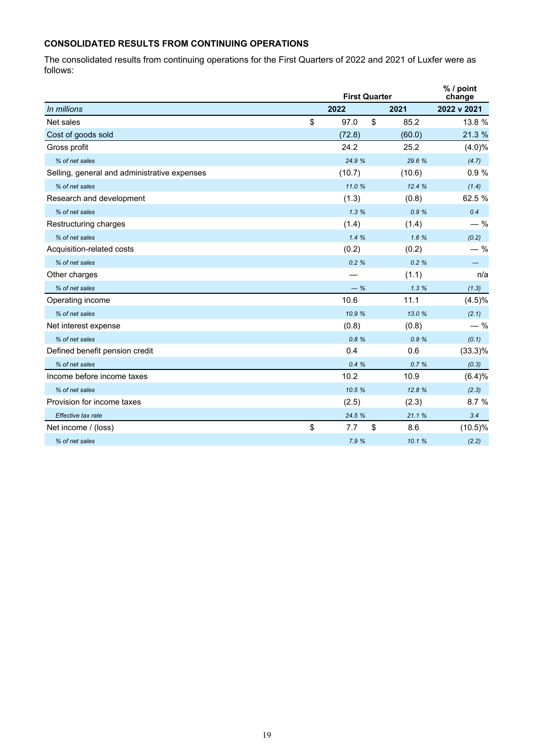# **CONSOLIDATED RESULTS FROM CONTINUING OPERATIONS**

The consolidated results from continuing operations for the First Quarters of 2022 and 2021 of Luxfer were as follows:

|                                              |    | <b>First Quarter</b> |      |        |             |  |  |  |
|----------------------------------------------|----|----------------------|------|--------|-------------|--|--|--|
| In millions                                  |    | 2022                 | 2021 |        | 2022 v 2021 |  |  |  |
| Net sales                                    | \$ | 97.0                 | \$   | 85.2   | 13.8 %      |  |  |  |
| Cost of goods sold                           |    | (72.8)               |      | (60.0) | 21.3 %      |  |  |  |
| Gross profit                                 |    | 24.2                 |      | 25.2   | $(4.0)\%$   |  |  |  |
| % of net sales                               |    | 24.9 %               |      | 29.6 % | (4.7)       |  |  |  |
| Selling, general and administrative expenses |    | (10.7)               |      | (10.6) | 0.9%        |  |  |  |
| % of net sales                               |    | 11.0%                |      | 12.4%  | (1.4)       |  |  |  |
| Research and development                     |    | (1.3)                |      | (0.8)  | 62.5 %      |  |  |  |
| % of net sales                               |    | 1.3%                 |      | 0.9%   | 0.4         |  |  |  |
| Restructuring charges                        |    | (1.4)                |      | (1.4)  | $-$ %       |  |  |  |
| % of net sales                               |    | 1.4%                 |      | 1.6%   | (0.2)       |  |  |  |
| Acquisition-related costs                    |    | (0.2)                |      | (0.2)  | $-$ %       |  |  |  |
| % of net sales                               |    | 0.2%                 |      | 0.2%   |             |  |  |  |
| Other charges                                |    |                      |      | (1.1)  | n/a         |  |  |  |
| % of net sales                               |    | $-$ %                |      | 1.3%   | (1.3)       |  |  |  |
| Operating income                             |    | 10.6                 |      | 11.1   | $(4.5)\%$   |  |  |  |
| % of net sales                               |    | 10.9 %               |      | 13.0 % | (2.1)       |  |  |  |
| Net interest expense                         |    | (0.8)                |      | (0.8)  | $-$ %       |  |  |  |
| % of net sales                               |    | 0.8%                 |      | 0.9%   | (0.1)       |  |  |  |
| Defined benefit pension credit               |    | 0.4                  |      | 0.6    | $(33.3)\%$  |  |  |  |
| % of net sales                               |    | 0.4%                 |      | 0.7%   | (0.3)       |  |  |  |
| Income before income taxes                   |    | 10.2                 |      | 10.9   | (6.4)%      |  |  |  |
| % of net sales                               |    | 10.5 %               |      | 12.8%  | (2.3)       |  |  |  |
| Provision for income taxes                   |    | (2.5)                |      | (2.3)  | 8.7%        |  |  |  |
| Effective tax rate                           |    | 24.5 %               |      | 21.1%  | 3.4         |  |  |  |
| Net income / (loss)                          | \$ | 7.7                  | \$   | 8.6    | $(10.5)\%$  |  |  |  |
| % of net sales                               |    | 7.9 %                |      | 10.1 % | (2.2)       |  |  |  |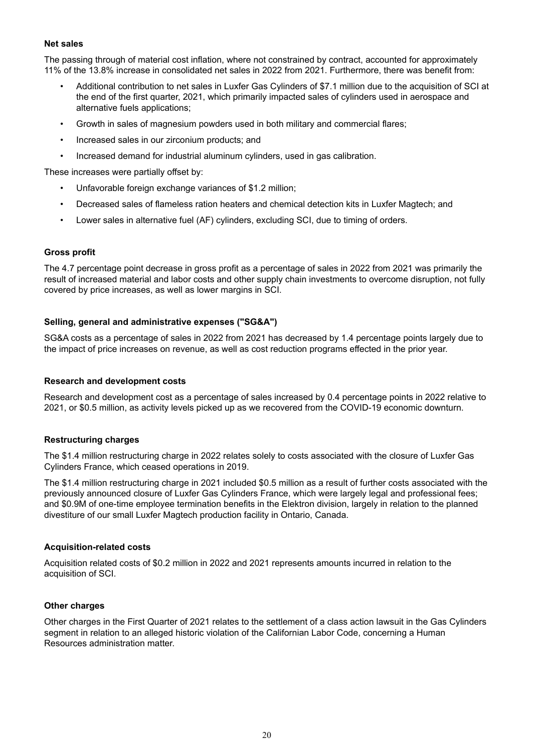#### **Net sales**

The passing through of material cost inflation, where not constrained by contract, accounted for approximately 11% of the 13.8% increase in consolidated net sales in 2022 from 2021. Furthermore, there was benefit from:

- Additional contribution to net sales in Luxfer Gas Cylinders of \$7.1 million due to the acquisition of SCI at the end of the first quarter, 2021, which primarily impacted sales of cylinders used in aerospace and alternative fuels applications;
- Growth in sales of magnesium powders used in both military and commercial flares;
- Increased sales in our zirconium products; and
- Increased demand for industrial aluminum cylinders, used in gas calibration.

These increases were partially offset by:

- Unfavorable foreign exchange variances of \$1.2 million;
- Decreased sales of flameless ration heaters and chemical detection kits in Luxfer Magtech; and
- Lower sales in alternative fuel (AF) cylinders, excluding SCI, due to timing of orders.

#### **Gross profit**

The 4.7 percentage point decrease in gross profit as a percentage of sales in 2022 from 2021 was primarily the result of increased material and labor costs and other supply chain investments to overcome disruption, not fully covered by price increases, as well as lower margins in SCI.

#### **Selling, general and administrative expenses ("SG&A")**

SG&A costs as a percentage of sales in 2022 from 2021 has decreased by 1.4 percentage points largely due to the impact of price increases on revenue, as well as cost reduction programs effected in the prior year.

#### **Research and development costs**

Research and development cost as a percentage of sales increased by 0.4 percentage points in 2022 relative to 2021, or \$0.5 million, as activity levels picked up as we recovered from the COVID-19 economic downturn.

#### **Restructuring charges**

The \$1.4 million restructuring charge in 2022 relates solely to costs associated with the closure of Luxfer Gas Cylinders France, which ceased operations in 2019.

The \$1.4 million restructuring charge in 2021 included \$0.5 million as a result of further costs associated with the previously announced closure of Luxfer Gas Cylinders France, which were largely legal and professional fees; and \$0.9M of one-time employee termination benefits in the Elektron division, largely in relation to the planned divestiture of our small Luxfer Magtech production facility in Ontario, Canada.

#### **Acquisition-related costs**

Acquisition related costs of \$0.2 million in 2022 and 2021 represents amounts incurred in relation to the acquisition of SCI.

#### **Other charges**

Other charges in the First Quarter of 2021 relates to the settlement of a class action lawsuit in the Gas Cylinders segment in relation to an alleged historic violation of the Californian Labor Code, concerning a Human Resources administration matter.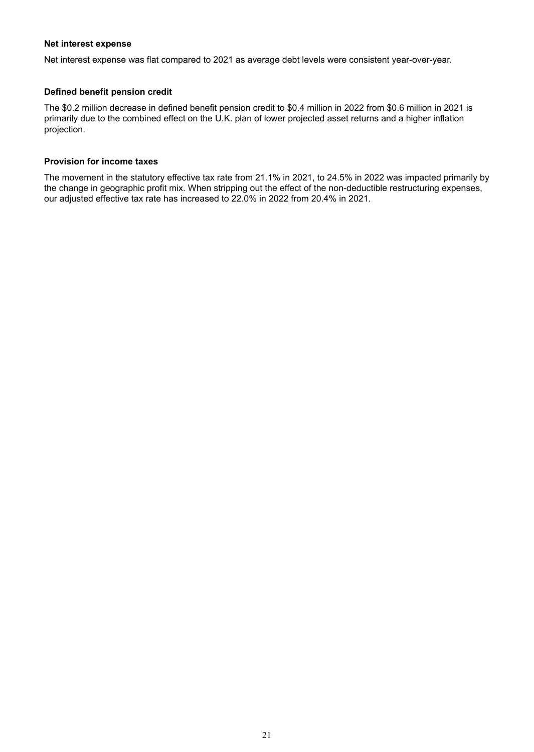#### **Net interest expense**

Net interest expense was flat compared to 2021 as average debt levels were consistent year-over-year.

#### **Defined benefit pension credit**

The \$0.2 million decrease in defined benefit pension credit to \$0.4 million in 2022 from \$0.6 million in 2021 is primarily due to the combined effect on the U.K. plan of lower projected asset returns and a higher inflation projection.

#### **Provision for income taxes**

The movement in the statutory effective tax rate from 21.1% in 2021, to 24.5% in 2022 was impacted primarily by the change in geographic profit mix. When stripping out the effect of the non-deductible restructuring expenses, our adjusted effective tax rate has increased to 22.0% in 2022 from 20.4% in 2021.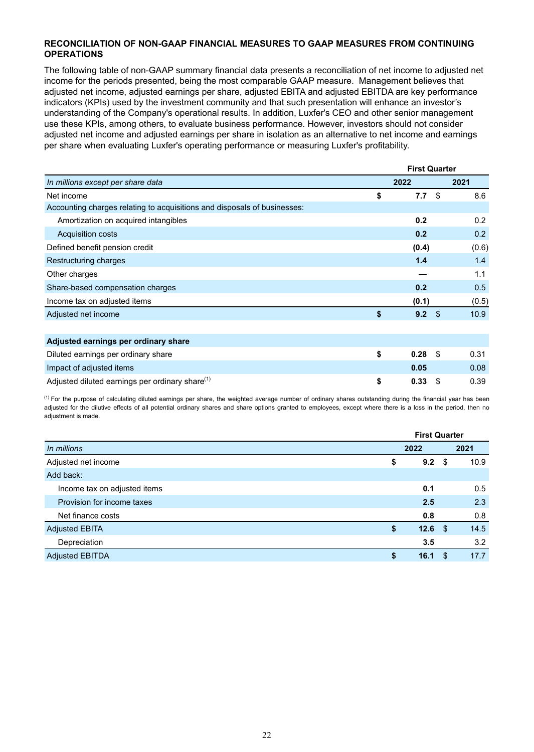#### **RECONCILIATION OF NON-GAAP FINANCIAL MEASURES TO GAAP MEASURES FROM CONTINUING OPERATIONS**

The following table of non-GAAP summary financial data presents a reconciliation of net income to adjusted net income for the periods presented, being the most comparable GAAP measure. Management believes that adjusted net income, adjusted earnings per share, adjusted EBITA and adjusted EBITDA are key performance indicators (KPIs) used by the investment community and that such presentation will enhance an investor's understanding of the Company's operational results. In addition, Luxfer's CEO and other senior management use these KPIs, among others, to evaluate business performance. However, investors should not consider adjusted net income and adjusted earnings per share in isolation as an alternative to net income and earnings per share when evaluating Luxfer's operating performance or measuring Luxfer's profitability.

|                                                                          | <b>First Quarter</b> |       |  |  |
|--------------------------------------------------------------------------|----------------------|-------|--|--|
| In millions except per share data                                        | 2022                 | 2021  |  |  |
| Net income                                                               | \$<br>\$<br>7.7      | 8.6   |  |  |
| Accounting charges relating to acquisitions and disposals of businesses: |                      |       |  |  |
| Amortization on acquired intangibles                                     | 0.2                  | 0.2   |  |  |
| <b>Acquisition costs</b>                                                 | 0.2                  | 0.2   |  |  |
| Defined benefit pension credit                                           | (0.4)                | (0.6) |  |  |
| Restructuring charges                                                    | 1.4                  | 1.4   |  |  |
| Other charges                                                            |                      | 1.1   |  |  |
| Share-based compensation charges                                         | 0.2                  | 0.5   |  |  |
| Income tax on adjusted items                                             | (0.1)                | (0.5) |  |  |
| Adjusted net income                                                      | \$<br>- \$<br>9.2    | 10.9  |  |  |
|                                                                          |                      |       |  |  |
| Adjusted earnings per ordinary share                                     |                      |       |  |  |
| Diluted earnings per ordinary share                                      | \$<br>-\$<br>0.28    | 0.31  |  |  |
| Impact of adjusted items                                                 | 0.05                 | 0.08  |  |  |
| Adjusted diluted earnings per ordinary share <sup>(1)</sup>              | \$<br>\$<br>0.33     | 0.39  |  |  |

 $<sup>(1)</sup>$  For the purpose of calculating diluted earnings per share, the weighted average number of ordinary shares outstanding during the financial year has been</sup> adjusted for the dilutive effects of all potential ordinary shares and share options granted to employees, except where there is a loss in the period, then no adjustment is made.

|                              |            |          | <b>First Quarter</b> |  |  |
|------------------------------|------------|----------|----------------------|--|--|
| In millions                  | 2022       |          | 2021                 |  |  |
| Adjusted net income          | 9.2<br>\$  | \$       | 10.9                 |  |  |
| Add back:                    |            |          |                      |  |  |
| Income tax on adjusted items | 0.1        |          | 0.5                  |  |  |
| Provision for income taxes   | 2.5        |          | 2.3                  |  |  |
| Net finance costs            | 0.8        |          | 0.8                  |  |  |
| <b>Adjusted EBITA</b>        | \$         | 12.6 $$$ | 14.5                 |  |  |
| Depreciation                 | 3.5        |          | 3.2                  |  |  |
| <b>Adjusted EBITDA</b>       | \$<br>16.1 | S        | 17.7                 |  |  |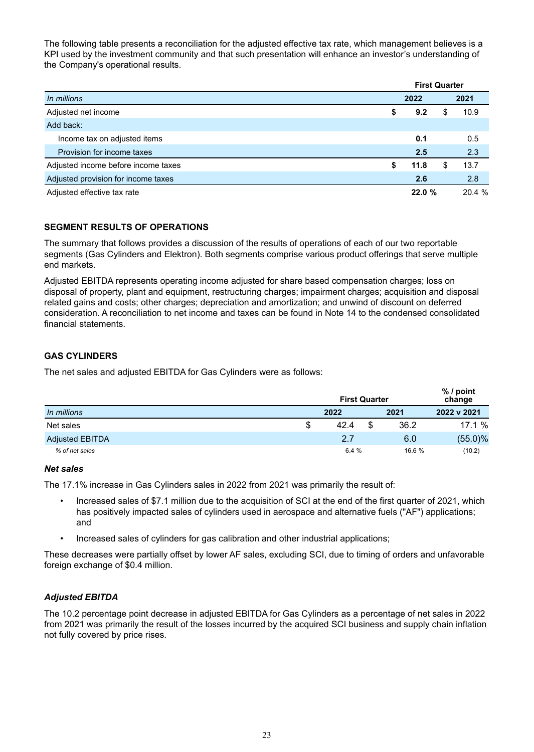The following table presents a reconciliation for the adjusted effective tax rate, which management believes is a KPI used by the investment community and that such presentation will enhance an investor's understanding of the Company's operational results.

|                                     | <b>First Quarter</b> |       |    |        |  |
|-------------------------------------|----------------------|-------|----|--------|--|
| In millions                         |                      | 2022  |    | 2021   |  |
| Adjusted net income                 | \$                   | 9.2   | S. | 10.9   |  |
| Add back:                           |                      |       |    |        |  |
| Income tax on adjusted items        |                      | 0.1   |    | 0.5    |  |
| Provision for income taxes          |                      | 2.5   |    | 2.3    |  |
| Adjusted income before income taxes | \$                   | 11.8  | S  | 13.7   |  |
| Adjusted provision for income taxes |                      | 2.6   |    | 2.8    |  |
| Adjusted effective tax rate         |                      | 22.0% |    | 20.4 % |  |

# **SEGMENT RESULTS OF OPERATIONS**

The summary that follows provides a discussion of the results of operations of each of our two reportable segments (Gas Cylinders and Elektron). Both segments comprise various product offerings that serve multiple end markets.

Adjusted EBITDA represents operating income adjusted for share based compensation charges; loss on disposal of property, plant and equipment, restructuring charges; impairment charges; acquisition and disposal related gains and costs; other charges; depreciation and amortization; and unwind of discount on deferred consideration. A reconciliation to net income and taxes can be found in Note 14 to the condensed consolidated financial statements.

# **GAS CYLINDERS**

The net sales and adjusted EBITDA for Gas Cylinders were as follows:

|                        | <b>First Quarter</b> |   |        |             |  |  |  |
|------------------------|----------------------|---|--------|-------------|--|--|--|
| In millions            | 2022                 |   | 2021   | 2022 v 2021 |  |  |  |
| Net sales              | \$<br>42.4           | S | 36.2   | 17.1 %      |  |  |  |
| <b>Adjusted EBITDA</b> | 2.7                  |   | 6.0    | $(55.0)\%$  |  |  |  |
| % of net sales         | 6.4%                 |   | 16.6 % | (10.2)      |  |  |  |

#### *Net sales*

The 17.1% increase in Gas Cylinders sales in 2022 from 2021 was primarily the result of:

- Increased sales of \$7.1 million due to the acquisition of SCI at the end of the first quarter of 2021, which has positively impacted sales of cylinders used in aerospace and alternative fuels ("AF") applications; and
- Increased sales of cylinders for gas calibration and other industrial applications;

These decreases were partially offset by lower AF sales, excluding SCI, due to timing of orders and unfavorable foreign exchange of \$0.4 million.

#### *Adjusted EBITDA*

The 10.2 percentage point decrease in adjusted EBITDA for Gas Cylinders as a percentage of net sales in 2022 from 2021 was primarily the result of the losses incurred by the acquired SCI business and supply chain inflation not fully covered by price rises.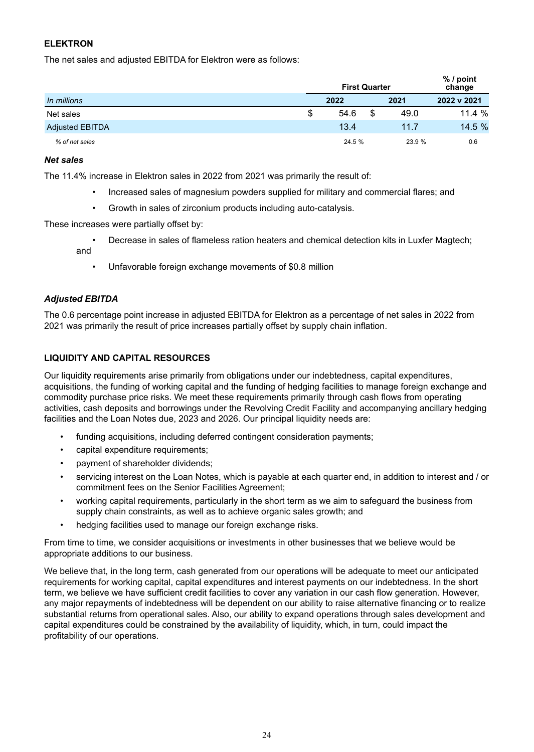# **ELEKTRON**

The net sales and adjusted EBITDA for Elektron were as follows:

|                        | <b>First Quarter</b> | % / point<br>change |             |
|------------------------|----------------------|---------------------|-------------|
| In millions            | 2022                 | 2021                | 2022 v 2021 |
| Net sales              | \$<br>54.6           | 49.0                | 11.4%       |
| <b>Adjusted EBITDA</b> | 13.4                 | 11.7                | 14.5 %      |
| % of net sales         | 24.5 %               | 23.9 %              | 0.6         |

#### *Net sales*

The 11.4% increase in Elektron sales in 2022 from 2021 was primarily the result of:

- Increased sales of magnesium powders supplied for military and commercial flares; and
- Growth in sales of zirconium products including auto-catalysis.

These increases were partially offset by:

- Decrease in sales of flameless ration heaters and chemical detection kits in Luxfer Magtech; and
	- Unfavorable foreign exchange movements of \$0.8 million

#### *Adjusted EBITDA*

The 0.6 percentage point increase in adjusted EBITDA for Elektron as a percentage of net sales in 2022 from 2021 was primarily the result of price increases partially offset by supply chain inflation.

#### **LIQUIDITY AND CAPITAL RESOURCES**

Our liquidity requirements arise primarily from obligations under our indebtedness, capital expenditures, acquisitions, the funding of working capital and the funding of hedging facilities to manage foreign exchange and commodity purchase price risks. We meet these requirements primarily through cash flows from operating activities, cash deposits and borrowings under the Revolving Credit Facility and accompanying ancillary hedging facilities and the Loan Notes due, 2023 and 2026. Our principal liquidity needs are:

- funding acquisitions, including deferred contingent consideration payments;
- capital expenditure requirements;
- payment of shareholder dividends;
- servicing interest on the Loan Notes, which is payable at each quarter end, in addition to interest and / or commitment fees on the Senior Facilities Agreement;
- working capital requirements, particularly in the short term as we aim to safeguard the business from supply chain constraints, as well as to achieve organic sales growth; and
- hedging facilities used to manage our foreign exchange risks.

From time to time, we consider acquisitions or investments in other businesses that we believe would be appropriate additions to our business.

We believe that, in the long term, cash generated from our operations will be adequate to meet our anticipated requirements for working capital, capital expenditures and interest payments on our indebtedness. In the short term, we believe we have sufficient credit facilities to cover any variation in our cash flow generation. However, any major repayments of indebtedness will be dependent on our ability to raise alternative financing or to realize substantial returns from operational sales. Also, our ability to expand operations through sales development and capital expenditures could be constrained by the availability of liquidity, which, in turn, could impact the profitability of our operations.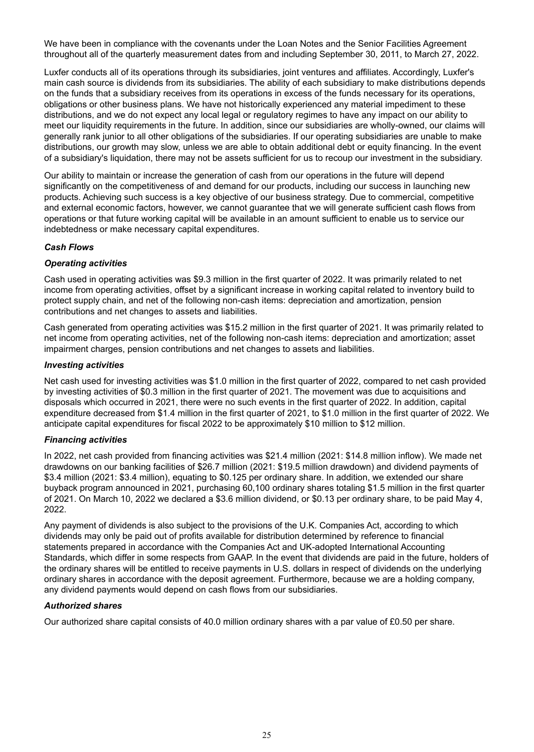We have been in compliance with the covenants under the Loan Notes and the Senior Facilities Agreement throughout all of the quarterly measurement dates from and including September 30, 2011, to March 27, 2022.

Luxfer conducts all of its operations through its subsidiaries, joint ventures and affiliates. Accordingly, Luxfer's main cash source is dividends from its subsidiaries. The ability of each subsidiary to make distributions depends on the funds that a subsidiary receives from its operations in excess of the funds necessary for its operations, obligations or other business plans. We have not historically experienced any material impediment to these distributions, and we do not expect any local legal or regulatory regimes to have any impact on our ability to meet our liquidity requirements in the future. In addition, since our subsidiaries are wholly-owned, our claims will generally rank junior to all other obligations of the subsidiaries. If our operating subsidiaries are unable to make distributions, our growth may slow, unless we are able to obtain additional debt or equity financing. In the event of a subsidiary's liquidation, there may not be assets sufficient for us to recoup our investment in the subsidiary.

Our ability to maintain or increase the generation of cash from our operations in the future will depend significantly on the competitiveness of and demand for our products, including our success in launching new products. Achieving such success is a key objective of our business strategy. Due to commercial, competitive and external economic factors, however, we cannot guarantee that we will generate sufficient cash flows from operations or that future working capital will be available in an amount sufficient to enable us to service our indebtedness or make necessary capital expenditures.

#### *Cash Flows*

#### *Operating activities*

Cash used in operating activities was \$9.3 million in the first quarter of 2022. It was primarily related to net income from operating activities, offset by a significant increase in working capital related to inventory build to protect supply chain, and net of the following non-cash items: depreciation and amortization, pension contributions and net changes to assets and liabilities.

Cash generated from operating activities was \$15.2 million in the first quarter of 2021. It was primarily related to net income from operating activities, net of the following non-cash items: depreciation and amortization; asset impairment charges, pension contributions and net changes to assets and liabilities.

#### *Investing activities*

Net cash used for investing activities was \$1.0 million in the first quarter of 2022, compared to net cash provided by investing activities of \$0.3 million in the first quarter of 2021. The movement was due to acquisitions and disposals which occurred in 2021, there were no such events in the first quarter of 2022. In addition, capital expenditure decreased from \$1.4 million in the first quarter of 2021, to \$1.0 million in the first quarter of 2022. We anticipate capital expenditures for fiscal 2022 to be approximately \$10 million to \$12 million.

#### *Financing activities*

In 2022, net cash provided from financing activities was \$21.4 million (2021: \$14.8 million inflow). We made net drawdowns on our banking facilities of \$26.7 million (2021: \$19.5 million drawdown) and dividend payments of \$3.4 million (2021: \$3.4 million), equating to \$0.125 per ordinary share. In addition, we extended our share buyback program announced in 2021, purchasing 60,100 ordinary shares totaling \$1.5 million in the first quarter of 2021. On March 10, 2022 we declared a \$3.6 million dividend, or \$0.13 per ordinary share, to be paid May 4, 2022.

Any payment of dividends is also subject to the provisions of the U.K. Companies Act, according to which dividends may only be paid out of profits available for distribution determined by reference to financial statements prepared in accordance with the Companies Act and UK-adopted International Accounting Standards, which differ in some respects from GAAP. In the event that dividends are paid in the future, holders of the ordinary shares will be entitled to receive payments in U.S. dollars in respect of dividends on the underlying ordinary shares in accordance with the deposit agreement. Furthermore, because we are a holding company, any dividend payments would depend on cash flows from our subsidiaries.

#### *Authorized shares*

Our authorized share capital consists of 40.0 million ordinary shares with a par value of £0.50 per share.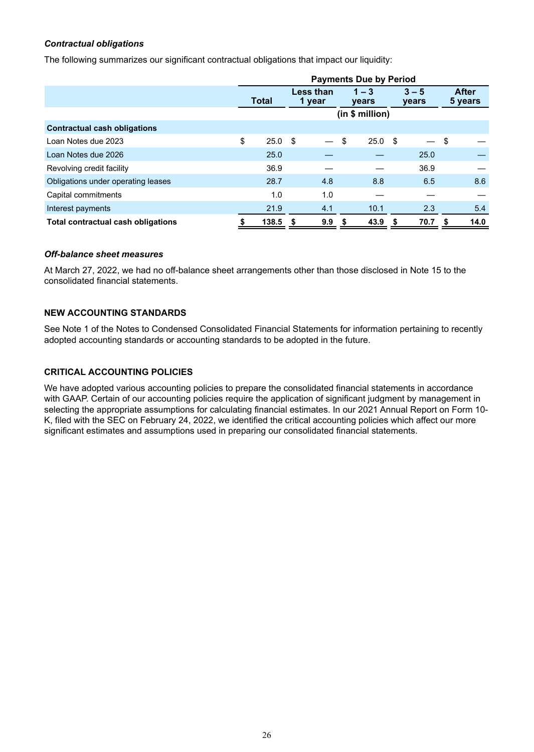## *Contractual obligations*

The following summarizes our significant contractual obligations that impact our liquidity:

|                                     | <b>Payments Due by Period</b> |       |                            |     |                  |                |                  |      |                         |      |
|-------------------------------------|-------------------------------|-------|----------------------------|-----|------------------|----------------|------------------|------|-------------------------|------|
|                                     | <b>Total</b>                  |       | <b>Less than</b><br>1 year |     | $1 - 3$<br>years |                | $3 - 5$<br>years |      | <b>After</b><br>5 years |      |
|                                     |                               |       | (in \$ million)            |     |                  |                |                  |      |                         |      |
| <b>Contractual cash obligations</b> |                               |       |                            |     |                  |                |                  |      |                         |      |
| Loan Notes due 2023                 | \$                            | 25.0  | - \$                       |     | \$               | $25.0\quad$ \$ |                  |      | \$                      |      |
| Loan Notes due 2026                 |                               | 25.0  |                            |     |                  |                |                  | 25.0 |                         |      |
| Revolving credit facility           |                               | 36.9  |                            |     |                  |                |                  | 36.9 |                         |      |
| Obligations under operating leases  |                               | 28.7  |                            | 4.8 |                  | 8.8            |                  | 6.5  |                         | 8.6  |
| Capital commitments                 |                               | 1.0   |                            | 1.0 |                  |                |                  |      |                         |      |
| Interest payments                   |                               | 21.9  |                            | 4.1 |                  | 10.1           |                  | 2.3  |                         | 5.4  |
| Total contractual cash obligations  |                               | 138.5 | - \$                       | 9.9 | -S               | 43.9           | S                | 70.7 | S                       | 14.0 |

#### *Off-balance sheet measures*

At March 27, 2022, we had no off-balance sheet arrangements other than those disclosed in Note 15 to the consolidated financial statements.

#### **NEW ACCOUNTING STANDARDS**

See Note 1 of the Notes to Condensed Consolidated Financial Statements for information pertaining to recently adopted accounting standards or accounting standards to be adopted in the future.

# **CRITICAL ACCOUNTING POLICIES**

We have adopted various accounting policies to prepare the consolidated financial statements in accordance with GAAP. Certain of our accounting policies require the application of significant judgment by management in selecting the appropriate assumptions for calculating financial estimates. In our 2021 Annual Report on Form 10- K, filed with the SEC on February 24, 2022, we identified the critical accounting policies which affect our more significant estimates and assumptions used in preparing our consolidated financial statements.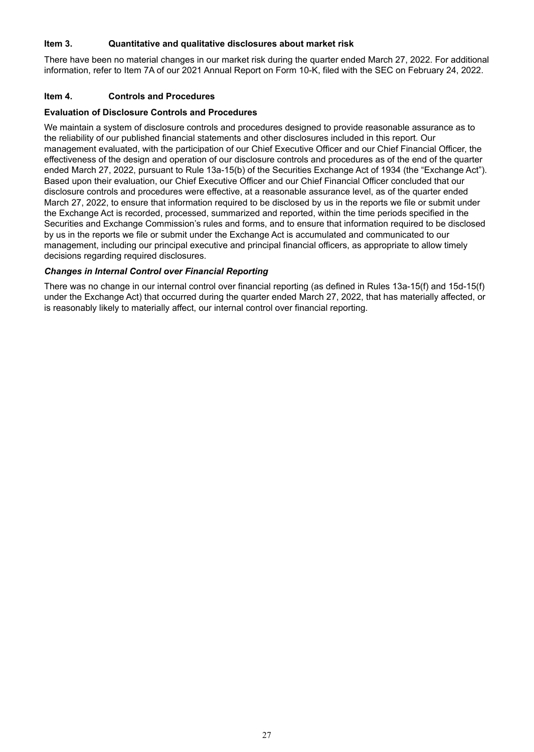### <span id="page-28-0"></span>**Item 3. Quantitative and qualitative disclosures about market risk**

There have been no material changes in our market risk during the quarter ended March 27, 2022. For additional information, refer to Item 7A of our 2021 Annual Report on Form 10-K, filed with the SEC on February 24, 2022.

#### **Item 4. Controls and Procedures**

#### **Evaluation of Disclosure Controls and Procedures**

We maintain a system of disclosure controls and procedures designed to provide reasonable assurance as to the reliability of our published financial statements and other disclosures included in this report. Our management evaluated, with the participation of our Chief Executive Officer and our Chief Financial Officer, the effectiveness of the design and operation of our disclosure controls and procedures as of the end of the quarter ended March 27, 2022, pursuant to Rule 13a-15(b) of the Securities Exchange Act of 1934 (the "Exchange Act"). Based upon their evaluation, our Chief Executive Officer and our Chief Financial Officer concluded that our disclosure controls and procedures were effective, at a reasonable assurance level, as of the quarter ended March 27, 2022, to ensure that information required to be disclosed by us in the reports we file or submit under the Exchange Act is recorded, processed, summarized and reported, within the time periods specified in the Securities and Exchange Commission's rules and forms, and to ensure that information required to be disclosed by us in the reports we file or submit under the Exchange Act is accumulated and communicated to our management, including our principal executive and principal financial officers, as appropriate to allow timely decisions regarding required disclosures.

# *Changes in Internal Control over Financial Reporting*

There was no change in our internal control over financial reporting (as defined in Rules 13a-15(f) and 15d-15(f) under the Exchange Act) that occurred during the quarter ended March 27, 2022, that has materially affected, or is reasonably likely to materially affect, our internal control over financial reporting.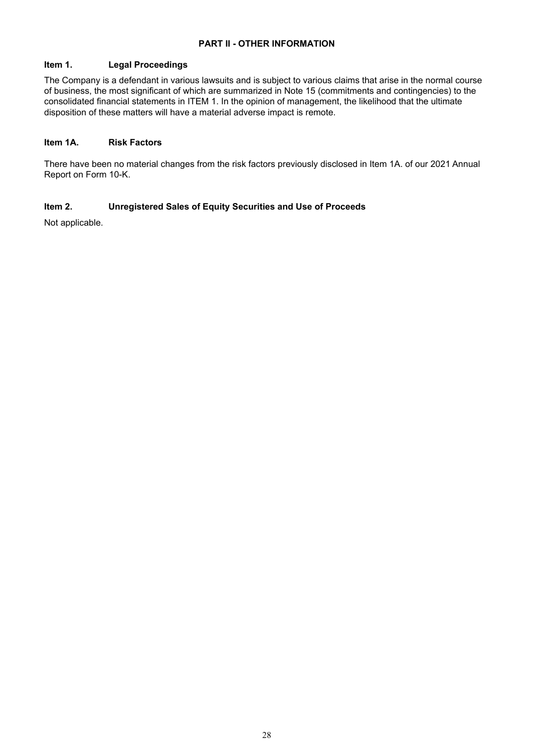# **PART II - OTHER INFORMATION**

#### <span id="page-29-0"></span>**Item 1. Legal Proceedings**

The Company is a defendant in various lawsuits and is subject to various claims that arise in the normal course of business, the most significant of which are summarized in Note 15 (commitments and contingencies) to the consolidated financial statements in ITEM 1. In the opinion of management, the likelihood that the ultimate disposition of these matters will have a material adverse impact is remote.

#### **Item 1A. Risk Factors**

There have been no material changes from the risk factors previously disclosed in Item 1A. of our 2021 Annual Report on Form 10-K.

# **Item 2. Unregistered Sales of Equity Securities and Use of Proceeds**

Not applicable.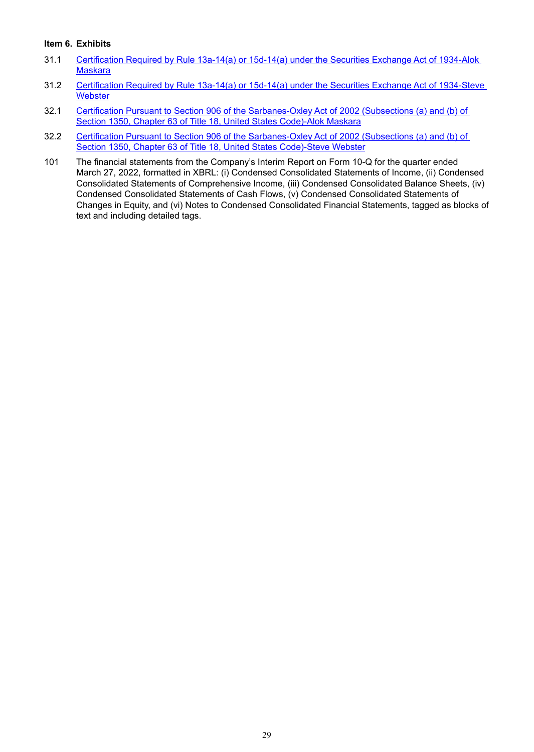#### <span id="page-30-0"></span>**Item 6. Exhibits**

- 31.1 Certification Required by Rule 13a-14(a) or 15d-14(a) under the Securities Exchange Act of 1934-Alok **Maskara**
- 31.2 Certification Required by Rule 13a-14(a) or 15d-14(a) under the Securities Exchange Act of 1934-Steve **Webster**
- 32.1 Certification Pursuant to Section 906 of the Sarbanes-Oxley Act of 2002 (Subsections (a) and (b) of Section 1350, Chapter 63 of Title 18, United States Code)-Alok Maskara
- 32.2 Certification Pursuant to Section 906 of the Sarbanes-Oxley Act of 2002 (Subsections (a) and (b) of Section 1350, Chapter 63 of Title 18, United States Code)-Steve Webster
- 101 The financial statements from the Company's Interim Report on Form 10-Q for the quarter ended March 27, 2022, formatted in XBRL: (i) Condensed Consolidated Statements of Income, (ii) Condensed Consolidated Statements of Comprehensive Income, (iii) Condensed Consolidated Balance Sheets, (iv) Condensed Consolidated Statements of Cash Flows, (v) Condensed Consolidated Statements of Changes in Equity, and (vi) Notes to Condensed Consolidated Financial Statements, tagged as blocks of text and including detailed tags.